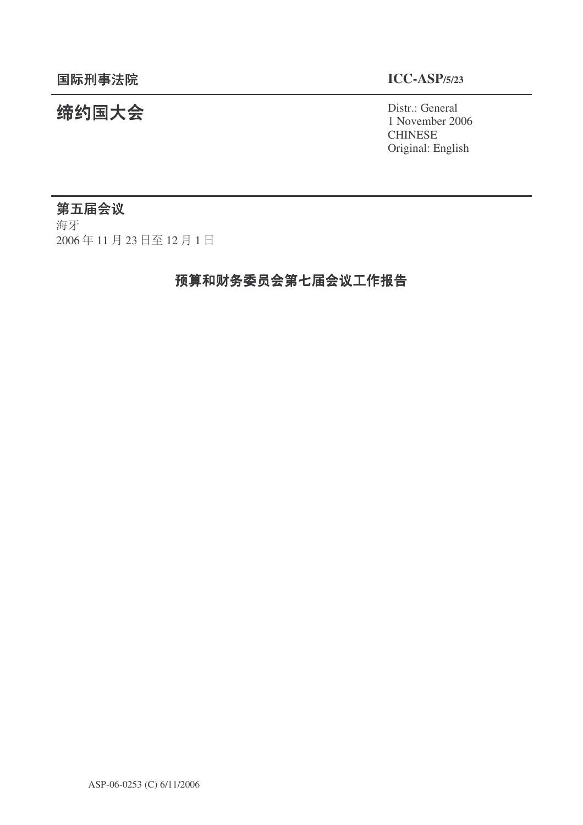# **缔约国大会**<br>→ Distr.: General

1 November 2006 **CHINESE** Original: English

## 第五届会议

海牙 2006年11月23日至12月1日

# 预算和财务委员会第七届会议工作报告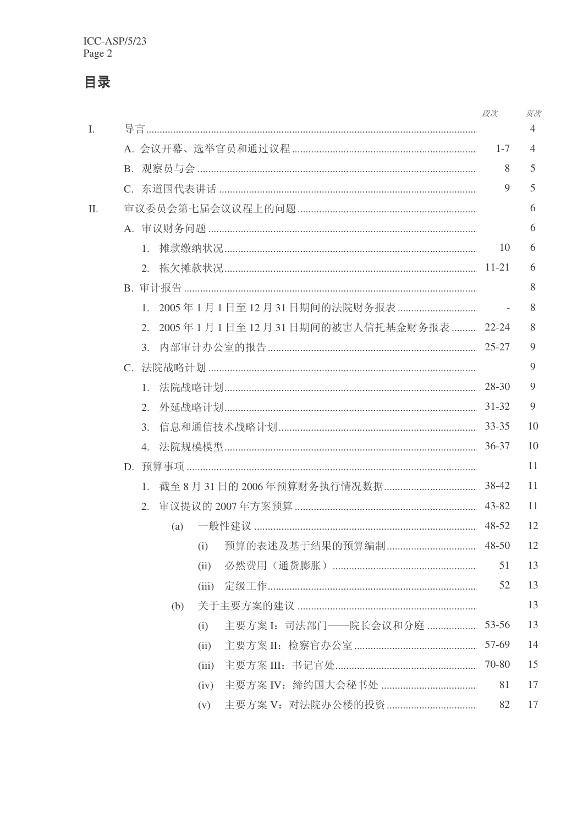# 目录

|     |    |              |                |       |                                                | 段次        | 页次 |  |  |
|-----|----|--------------|----------------|-------|------------------------------------------------|-----------|----|--|--|
| Ι.  |    |              | $\overline{4}$ |       |                                                |           |    |  |  |
|     |    | $1 - 7$<br>8 | 4<br>5         |       |                                                |           |    |  |  |
|     |    |              |                |       |                                                |           |    |  |  |
|     |    |              | 9              | 5     |                                                |           |    |  |  |
| II. |    |              |                |       |                                                |           | 6  |  |  |
|     |    |              |                |       |                                                |           | 6  |  |  |
|     |    | 1.           |                |       |                                                | 10        | 6  |  |  |
|     |    | $11 - 21$    | 6              |       |                                                |           |    |  |  |
|     |    |              |                |       |                                                |           |    |  |  |
|     |    | $1_{-}$      |                |       |                                                |           | 8  |  |  |
|     |    | 2.           |                |       | 2005年1月1日至12月31日期间的被害人信托基金财务报表  22-24          |           | 8  |  |  |
|     |    |              |                |       |                                                | $25 - 27$ | 9  |  |  |
|     |    |              |                |       |                                                |           |    |  |  |
|     |    |              |                |       | 1. 法院战略计划………………………………………………………………………………… 28-30 |           | 9  |  |  |
|     |    | 2.           |                |       |                                                | $31 - 32$ | 9  |  |  |
|     |    | 3.           |                |       |                                                | 33-35     | 10 |  |  |
|     | 4. |              |                |       |                                                |           | 10 |  |  |
|     |    |              |                |       |                                                |           | 11 |  |  |
|     |    | $1_{\cdots}$ |                |       |                                                |           | 11 |  |  |
|     |    | 2.           |                |       |                                                | $43 - 82$ | 11 |  |  |
|     |    |              | (a)            |       |                                                | 48-52     | 12 |  |  |
|     |    |              |                | (i)   | 预算的表述及基于结果的预算编制                                | $48 - 50$ | 12 |  |  |
|     |    |              |                | (iii) |                                                | 51        | 13 |  |  |
|     |    |              |                | (iii) |                                                | 52        | 13 |  |  |
|     |    |              | (b)            |       |                                                |           | 13 |  |  |
|     |    |              |                | (i)   | 主要方案 I: 司法部门——院长会议和分庭                          | 53-56     | 13 |  |  |
|     |    |              |                | (ii)  |                                                | 57-69     | 14 |  |  |
|     |    |              |                | (iii) |                                                | 70-80     | 15 |  |  |
|     |    |              |                | (iv)  |                                                | 81        | 17 |  |  |
|     |    |              |                | (v)   |                                                | 82        | 17 |  |  |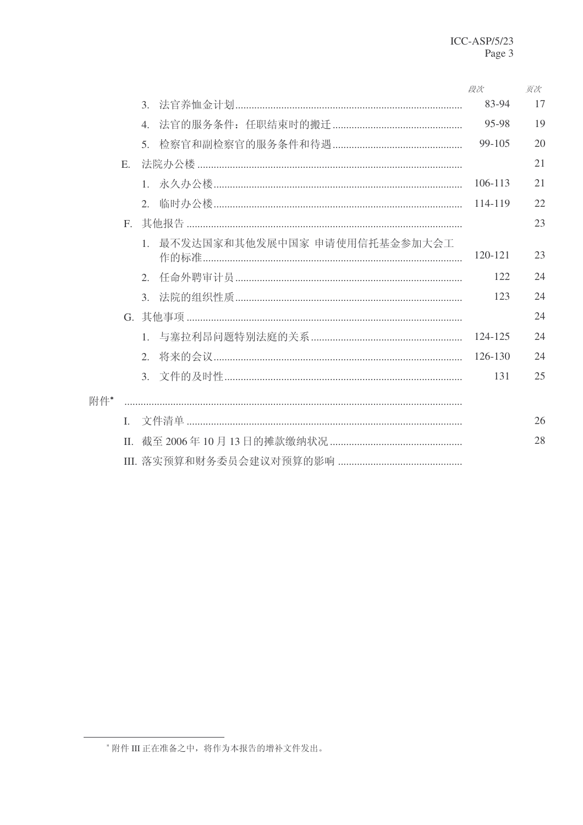|     |              |                  |                              | 段次      | 页次 |
|-----|--------------|------------------|------------------------------|---------|----|
|     |              | $\mathfrak{Z}$ . |                              | 83-94   | 17 |
|     |              | $\overline{4}$   |                              | 95-98   | 19 |
|     |              | 5 <sub>1</sub>   |                              | 99-105  | 20 |
|     | E.           |                  |                              |         | 21 |
|     |              |                  |                              | 106-113 | 21 |
|     |              | 2.               |                              | 114-119 | 22 |
|     | $F_{\cdot}$  |                  |                              |         | 23 |
|     |              | 1                | 最不发达国家和其他发展中国家 申请使用信托基金参加大会工 | 120-121 | 23 |
|     |              |                  |                              | 122     | 24 |
|     |              | $\mathcal{E}$    |                              | 123     | 24 |
|     |              |                  |                              |         | 24 |
|     |              |                  |                              | 124-125 | 24 |
|     |              | $2^{\circ}$      |                              | 126-130 | 24 |
|     |              |                  |                              | 131     | 25 |
| 附件* |              |                  |                              |         |    |
|     | $\mathbf{L}$ |                  |                              |         | 26 |
|     | $\mathbf{H}$ |                  |                              |         | 28 |
|     |              |                  |                              |         |    |

<sup>\*</sup> 附件 III 正在准备之中, 将作为本报告的增补文件发出。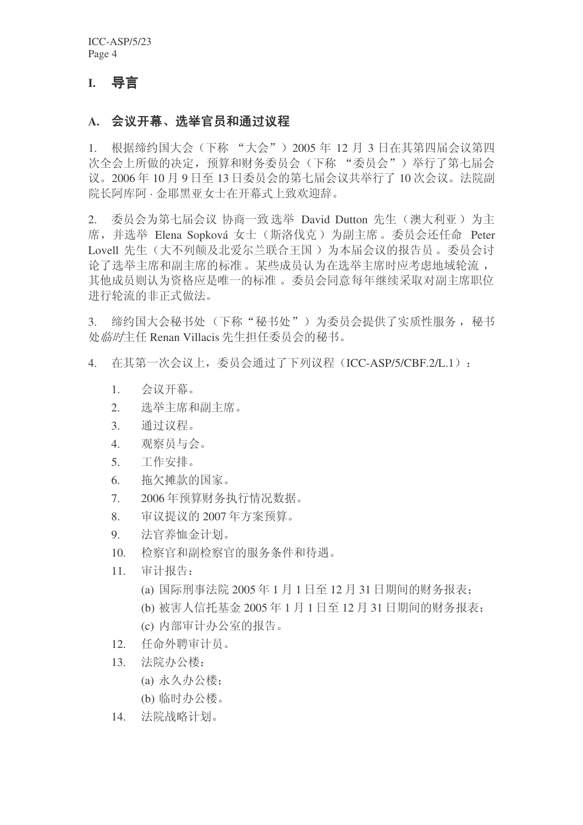### **I.** 导言

### A. 会议开幕、选举官员和通过议程

1. 根据缔约国大会(下称"大会") 2005 年 12 月 3 日在其第四届会议第四 次全会上所做的决定, 预算和财务委员会(下称 "委员会") 举行了第七届会 议。2006年10月9日至13日委员会的第七届会议共举行了10次会议。法院副 院长阿库阿·金耶黑亚女士在开幕式上致欢迎辞。

2. 委员会为第七届会议 协商一致选举 David Dutton 先生 (澳大利亚) 为主 席, 并选举 Elena Sopková 女士 (斯洛伐克) 为副主席。委员会还任命 Peter Lovell 先生(大不列颠及北爱尔兰联合王国) 为本届会议的报告员。委员会讨 论了选举主席和副主席的标准。某些成员认为在选举主席时应考虑地域轮流, 其他成员则认为资格应是唯一的标准。委员会同意每年继续采取对副主席职位 进行轮流的非正式做法。

3. 缔约国大会秘书处(下称"秘书处")为委员会提供了实质性服务, 秘书 处临时主任 Renan Villacis 先生担任委员会的秘书。

- 4. 在其第一次会议上,委员会通过了下列议程(ICC-ASP/5/CBF.2/L.1):
	- 1. 会议开幕。
	- 2. 洗举主席和副主席。
	- 3. 通过议程。
	- 4. 观察员与会。
	- 5. 工作安排。
	- 6. 拖欠摊款的国家。
	- 7. 2006年预算财务执行情况数据。
	- 8. 审议提议的 2007 年方案预算。
	- 9. 洪官养恤金计划。
	- 10. 检察官和副检察官的服务条件和待遇。
	- 11. 审计报告:
		- (a) 国际刑事法院 2005 年 1 月 1 日至 12 月 31 日期间的财务报表:
		- (b) 被害人信托基金 2005 年 1 月 1 日至 12 月 31 日期间的财务报表:
		- (c) 内部审计办公室的报告。
	- 12. 任命外聘审计员。
	- 13. 法院办公楼:
		- (a) 永久办公楼;
		- (b) 临时办公楼。
	- 14. 法院战略计划。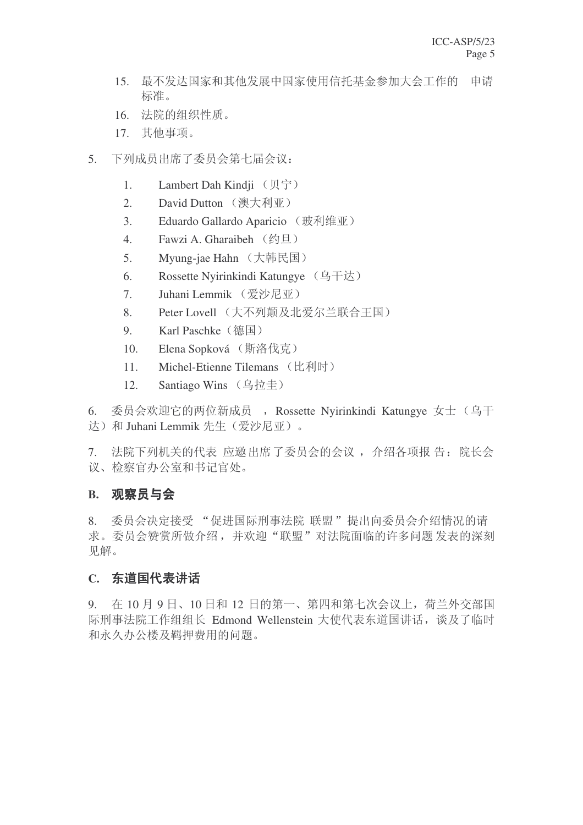- 15. 最不发达国家和基他发展中国家使用信托基金参加大会工作的 申请 标准。
- 16. 法院的组织性质。
- 17. 其他事项。
- 5. 下列成员出席了委员会第七届会议:
	- 1. Lambert Dah Kindii (贝宁)
	- 2. David Dutton (澳大利亚)
	- 3. Eduardo Gallardo Aparicio (玻利维亚)
	- 4. Fawzi A. Gharaibeh (约旦)
	- 5. Myung-jae Hahn (大韩民国)
	- 6. Rossette Nyirinkindi Katungye (乌干达)
	- 7. Juhani Lemmik (爱沙尼亚)
	- 8. Peter Lovell (大不列颠及北爱尔兰联合王国)
	- 9. Karl Paschke (德国)
	- 10. Elena Sopková (斯洛伐克)
	- 11. Michel-Etienne Tilemans (比利时)
	- 12. Santiago Wins (乌拉圭)

6. 委员会欢迎它的两位新成员, Rossette Nyirinkindi Katungye 女士(乌干 达) 和 Juhani Lemmik 先生(爱沙尼亚)。

7. 法院下列机关的代表 应邀出席了委员会的会议, 介绍各项报告: 院长会 议、检察官办公室和书记官处。

### **B.** 观察员与会

8. 委员会决定接受"促进国际刑事法院 联盟"提出向委员会介绍情况的请 求。委员会赞赏所做介绍,并欢迎"联盟"对法院面临的许多问题发表的深刻 见解。

### C. 东道国代表讲话

9. 在 10 月 9 日、10 日和 12 日的第一、第四和第七次会议上, 荷兰外交部国 际刑事法院工作组组长 Edmond Wellenstein 大使代表东道国讲话, 谈及了临时 和永久办公楼及羁押费用的问题。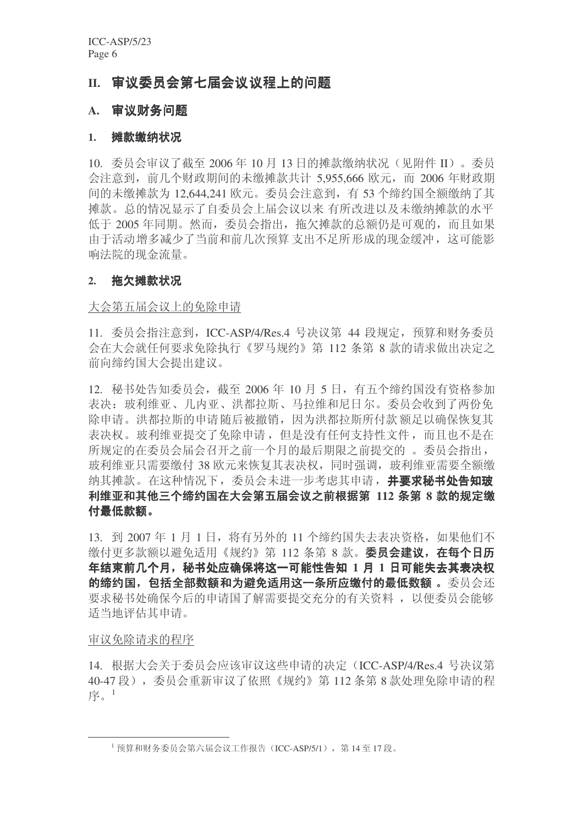### II. 审议委员会第七届会议议程上的问题

### A. 审议财务问题

### 1. 摊款缴纳状况

10. 委员会审议了截至 2006年 10 月 13 日的摊款缴纳状况(见附件 II)。委员 会注意到, 前几个财政期间的未缴摊款共计 5,955,666 欧元, 而 2006 年财政期 间的未缴摊款为 12,644,241 欧元。委员会注意到, 有 53 个缔约国全额缴纳了其 摊款。总的情况显示了自委员会上届会议以来 有所改进以及未缴纳摊款的水平 低于 2005 年同期。然而, 委员会指出, 拖欠摊款的总额仍是可观的, 而且如果 由于活动增多减少了当前和前几次预算 支出不足所形成的现金缓冲, 这可能影 响法院的现金流量。

### 2. 拖欠摊款状况

### 大会第五届会议上的免除申请

11. 委员会指注意到, ICC-ASP/4/Res.4 号决议第 44 段规定, 预算和财务委员 会在大会就任何要求免除执行《罗马规约》第 112 条第 8 款的请求做出决定之 前向缔约国大会提出建议。

12. 秘书处告知委员会, 截至 2006 年 10 月 5 日, 有五个缔约国没有资格参加 表决: 玻利维亚、几内亚、洪都拉斯、马拉维和尼日尔。委员会收到了两份免 除申请。洪都拉斯的申请随后被撤销,因为洪都拉斯所付款额足以确保恢复其 表决权。玻利维亚提交了免除申请, 但是没有任何支持性文件, 而且也不是在 所规定的在委员会届会召开之前一个月的最后期限之前提交的。委员会指出, 玻利维亚只需要缴付 38 欧元来恢复其表决权,同时强调,玻利维亚需要全额缴 纳其摊款。在这种情况下, 委员会未讲一步考虑其申请, 并要求秘书处告知玻 利维亚和其他三个缔约国在大会第五届会议之前根据第 112 条第 8 款的规定缴 付最低款额。

13. 到 2007年1月1日, 将有另外的 11 个缔约国失去表决资格, 如果他们不 缴付更多款额以避免适用《规约》第 112 条第 8 款。 委员会建议, 在每个日历 年结束前几个月,秘书处应确保将这一可能性告知 1 月 1 日可能失去其表决权 的缔约国, 包括全部数额和为避免适用这一条所应缴付的最低数额。委员会还 要求秘书处确保今后的申请国了解需要提交充分的有关资料, 以便委员会能够 适当地评估其申请。

#### 审议免除请求的程序

14. 根据大会关于委员会应该审议这些申请的决定 (ICC-ASP/4/Res.4 号决议第 40-47 段), 委员会重新审议了依照《规约》第112 条第8款处理免除申请的程 序 $1$ 

 $^{-1}$  预算和财务委员会第六届会议工作报告 (ICC-ASP/5/1), 第14至17 段。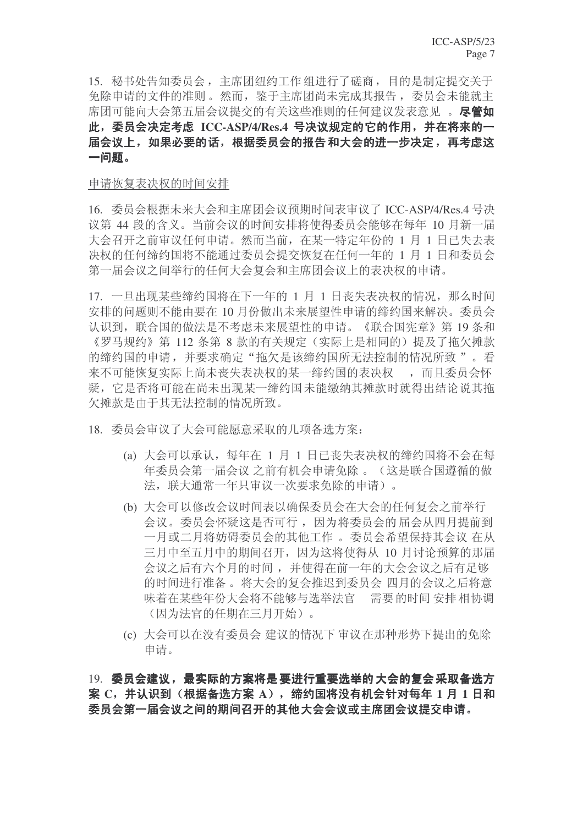15. 秘书处告知委员会, 主席团纽约工作组进行了磋商, 目的是制定提交关于 免除申请的文件的准则。然而, 鉴于主席团尚未完成其报告, 委员会未能就主 席团可能向大会第五届会议提交的有关这些准则的任何建议发表意见 。 **尽管如** 此,委员会决定考虑 ICC-ASP/4/Res.4 号决议规定的它的作用,并在将来的一 届会议上,如果必要的话,根据委员会的报告和大会的进一步决定,再考虑这 一问题。

### 申请恢复表决权的时间安排

16. 委员会根据未来大会和主席团会议预期时间表审议了 ICC-ASP/4/Res.4 号决 议第 44 段的含义。当前会议的时间安排将使得委员会能够在每年 10 月新一届 大会召开之前审议任何申请。然而当前,在某一特定年份的 1 月 1 日已失去表 决权的任何缔约国将不能通过委员会提交恢复在任何一年的 1 月 1 日和委员会 第一届会议之间举行的任何大会复会和主席团会议上的表决权的申请。

17. 一旦出现某些缔约国将在下一年的 1 月 1 日丧失表决权的情况, 那么时间 安排的问题则不能由要在10月份做出未来展望性申请的缔约国来解决。委员会 认识到, 联合国的做法是不考虑未来展望性的申请。《联合国宪章》第19条和 《罗马规约》第 112 条第 8 款的有关规定 (实际上是相同的) 提及了拖欠摊款 的缔约国的申请,并要求确定"拖欠是该缔约国所无法控制的情况所致"。看 来不可能恢复实际上尚未丧失表决权的某一缔约国的表决权<br> 疑, 它是否将可能在尚未出现某一缔约国未能缴纳其摊款时就得出结论说其拖 欠摊款是由于其无法控制的情况所致。

18. 委员会审议了大会可能愿意采取的几项备选方案:

- (a) 大会可以承认, 每年在 1 月 1 日已丧失表决权的缔约国将不会在每 年委员会第一届会议 之前有机会申请免除。(这是联合国遵循的做 法, 联大通常一年只审议一次要求免除的申请)。
- (b) 大会可以修改会议时间表以确保委员会在大会的任何复会之前举行 会议。委员会怀疑这是否可行,因为将委员会的届会从四月提前到 一月或二月将妨碍委员会的其他工作。委员会希望保持其会议 在从 三月中至五月中的期间召开, 因为这将使得从 10 月讨论预算的那届 会议之后有六个月的时间, 并使得在前一年的大会会议之后有足够 的时间进行准备。将大会的复会推迟到委员会 四月的会议之后将意 味着在某些年份大会将不能够与选举法官 需要的时间 安排 相协调 (因为法官的任期在三月开始)。
- (c) 大会可以在没有委员会 建议的情况下 审议在那种形势下提出的免除 申请。

19. 委员会建议,最实际的方案将是要进行重要选举的大会的复会采取备选方 案 C, 并认识到(根据备选方案 A), 缔约国将没有机会针对每年 1 月 1 日和 委员会第一届会议之间的期间召开的其他大会会议或主席团会议提交申请。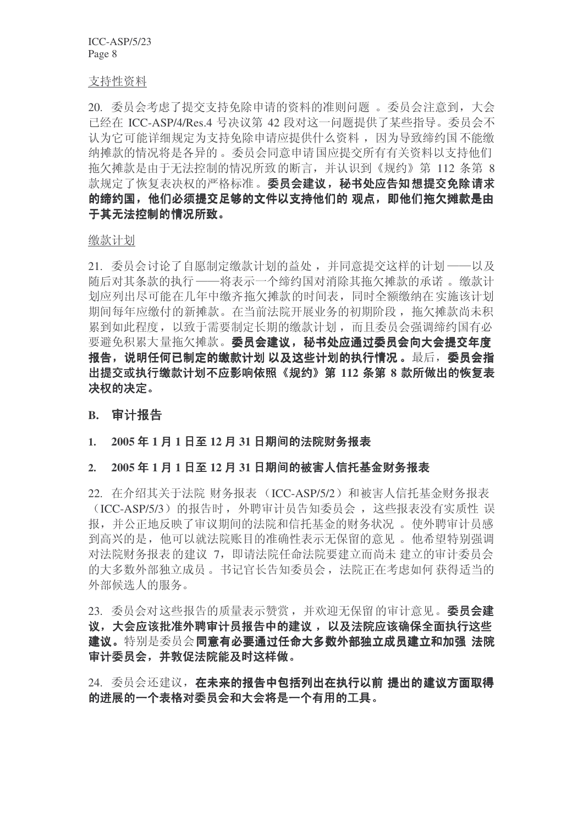#### 支持性资料

20. 委员会考虑了提交支持免除申请的资料的准则问题。委员会注意到,大会 已经在 ICC-ASP/4/Res.4 号决议第 42 段对这一问题提供了某些指导。委员会不 认为它可能详细规定为支持免除申请应提供什么资料,因为导致缔约国不能缴 纳摊款的情况将是各异的。委员会同意申请国应提交所有有关资料以支持他们 拖欠摊款是由于无法控制的情况所致的断言,并认识到《规约》第 112 条第 8 款规定了恢复表决权的严格标准。委员会建议,秘书处应告知想提交免除请求 的缔约国,他们必须提交足够的文件以支持他们的 观点,即他们拖欠摊款是由 于其无法控制的情况所致。

缴款计划

21. 委员会讨论了自愿制定缴款计划的益处, 并同意提交这样的计划---以及 随后对其条款的执行 ——将表示一个缔约国对消除其拖欠摊款的承诺。缴款计 划应列出尽可能在几年中缴齐拖欠摊款的时间表,同时全额缴纳在实施该计划 期间每年应缴付的新摊款。在当前法院开展业务的初期阶段, 拖欠摊款尚未积 累到如此程度, 以致于需要制定长期的缴款计划, 而且委员会强调缔约国有必 要避免积累大量拖欠摊款。 委员会建议, 秘书处应通过委员会向大会提交年度 报告,说明任何已制定的缴款计划 以及这些计划的执行情况。最后,委员会指 出提交或执行缴款计划不应影响依照《规约》第 112 条第 8 款所做出的恢复表 决权的决定。

### **B.** 审计报告

### 1. 2005年1月1日至12月31日期间的法院财务报表

### 2. 2005年1月1日至12月31日期间的被害人信托基金财务报表

22. 在介绍其关于法院 财务报表 (ICC-ASP/5/2) 和被害人信托基金财务报表 (ICC-ASP/5/3) 的报告时, 外聘审计员告知委员会, 这些报表没有实质性 误 报,并公正地反映了审议期间的法院和信托基金的财务状况。 使外聘审计员感 到高兴的是, 他可以就法院账目的准确性表示无保留的意见。他希望特别强调 对法院财务报表的建议 7, 即请法院任命法院要建立而尚未 建立的审计委员会 的大多数外部独立成员。书记官长告知委员会, 法院正在考虑如何获得适当的 外部候洗人的服务。

23. 委员会对这些报告的质量表示赞赏, 并欢迎无保留的审计意见。 委员会建 议,大会应该批准外聘审计员报告中的建议,以及法院应该确保全面执行这些 建议。特别是委员会同意有必要通过任命大多数外部独立成员建立和加强法院 审计委员会,并敦促法院能及时这样做。

24. 委员会还建议, 在未来的报告中包括列出在执行以前 提出的建议方面取得 的进展的一个表格对委员会和大会将是一个有用的工具。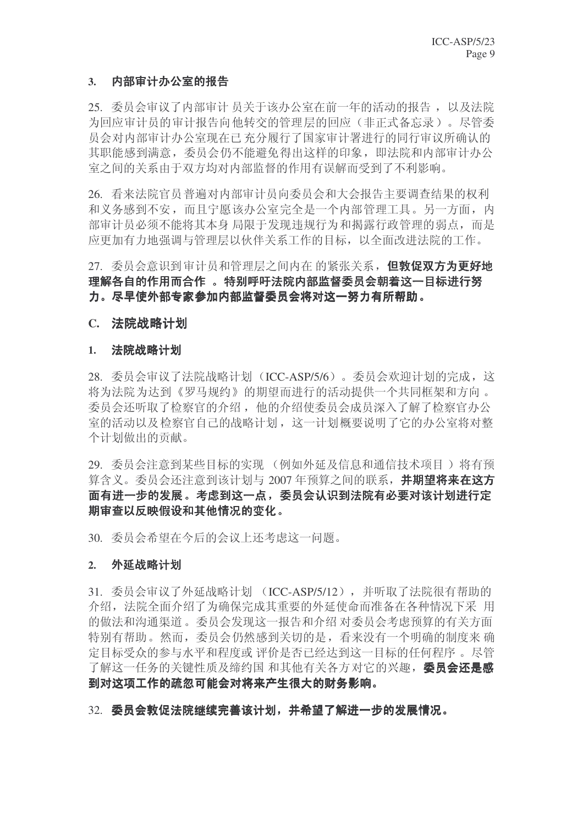### 3. 内部审计办公室的报告

25. 委员会审议了内部审计员关于该办公室在前一年的活动的报告, 以及法院 为回应审计员的审计报告向他转交的管理层的回应(非正式备忘录)。尽管委 员会对内部审计办公室现在已充分履行了国家审计署进行的同行审议所确认的 其职能感到满意, 委员会仍不能避免得出这样的印象, 即法院和内部审计办公 室之间的关系由于双方均对内部监督的作用有误解而受到了不利影响。

26. 看来法院官员普遍对内部审计员向委员会和大会报告主要调查结果的权利 和义务感到不安,而且宁愿该办公室完全是一个内部管理工具。另一方面,内 部审计员必须不能将其本身局限于发现违规行为和揭露行政管理的弱点,而是 应更加有力地强调与管理层以伙伴关系工作的目标, 以全面改进法院的工作。

### 27. 委员会意识到审计员和管理层之间内在的紧张关系,但敦促双方为更好地 理解各自的作用而合作 。 特别呼吁法院内部监督委员会朝着这一目标进行努 力。尽早使外部专家参加内部监督委员会将对这一努力有所帮助。

### **C.** ⊩䰶⬹䅵ߦ

### 1. 法院战略计划

28. 委员会审议了法院战略计划(ICC-ASP/5/6)。委员会欢迎计划的完成,这 将为法院为达到《罗马规约》的期望而进行的活动提供一个共同框架和方向。 委员会还听取了检察官的介绍,他的介绍使委员会成员深入了解了检察官办公 室的活动以及检察官自己的战略计划,这一计划概要说明了它的办公室将对整 个计划做出的贡献。

29. 委员会注意到某些目标的实现 (例如外延及信息和通信技术项目) 将有预 算含义。委员会还注意到该计划与 2007 年预算之间的联系, 并期望将来在这方 面有进一步的发展。考虑到这一点,委员会认识到法院有必要对该计划进行定 期审查以反映假设和其他情况的变化。

30. 委员会希望在今后的会议上还考虑这一问题。

### 2. 外延战略计划

31. 委员会审议了外延战略计划 (ICC-ASP/5/12), 并听取了法院很有帮助的 介绍, 法院全面介绍了为确保完成其重要的外延使命而准备在各种情况下采用 的做法和沟通渠道。委员会发现这一报告和介绍对委员会考虑预算的有关方面 特别有帮助。然而,委员会仍然感到关切的是,看来没有一个明确的制度来确 定目标受众的参与水平和程度或 评价是否已经达到这一目标的任何程序 。尽管 了解这一仟务的关键性质及缔约国 和其他有关各方对它的兴趣, 委员会还是感 到对这项工作的疏忽可能会对将来产生很大的财务影响。

32. 委员会敦促法院继续完善该计划, 并希望了解进一步的发展情况。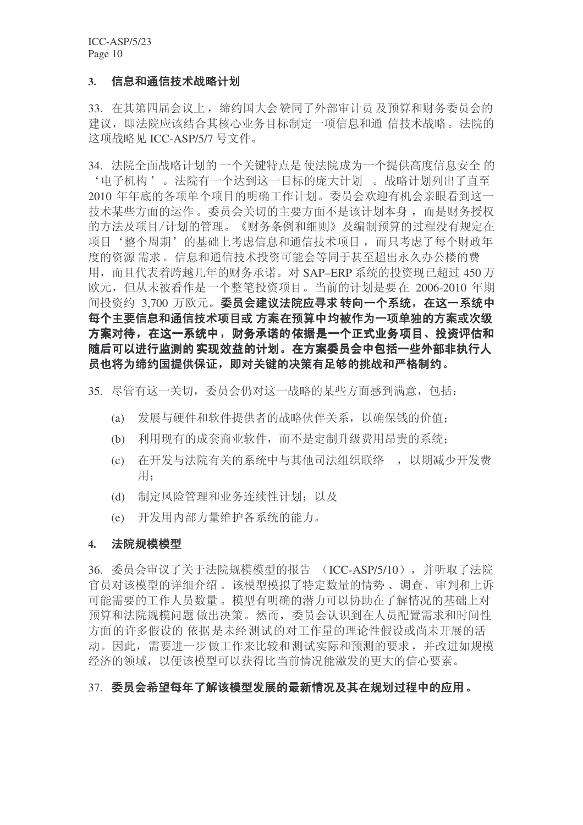### 3. 信息和通信技术战略计划

33. 在其第四届会议上, 缔约国大会赞同了外部审计员 及预算和财务委员会的 建议, 即法院应该结合其核心业务目标制定一项信息和通 信技术战略。法院的 这项战略见 ICC-ASP/5/7 号文件。

34. 法院全面战略计划的一个关键特点是使法院成为一个提供高度信息安全的 '电子机构'。法院有一个达到这一目标的庞大计划。 战略计划列出了直至 2010 年年底的各项单个项目的明确工作计划。委员会欢迎有机会亲眼看到这一 技术某些方面的运作。委员会关切的主要方面不是该计划本身,而是财务授权 的方法及项目/计划的管理。《财务条例和细则》及编制预算的过程没有规定在 项目'整个周期'的基础上考虑信息和通信技术项目,而只考虑了每个财政年 度的资源需求。信息和通信技术投资可能会等同于甚至超出永久办公楼的费 用, 而且代表着跨越几年的财务承诺。对 SAP–ERP 系统的投资现已超过 450 万 欧元, 但从未被看作是一个整笔投资项目。当前的计划是要在 2006-2010 年期 间投资约 3,700 万欧元。委员会建议法院应寻求转向一个系统, 在这一系统中 每个主要信息和通信技术项目或 方案在预算中均被作为一项单独的方案或次级 方案对待,在这一系统中,财务承诺的依据是一个正式业务项目、投资评估和 随后可以进行监测的实现效益的计划。在方案委员会中包括一些外部非执行人 员也将为缔约国提供保证,即对关键的决策有足够的挑战和严格制约。

35. 尽管有这一关切, 委员会仍对这一战略的某些方面感到满意, 包括:

- (a) 发展与硬件和软件提供者的战略伙伴关系, 以确保钱的价值;
- (b) 利用现有的成套商业软件,而不是定制升级费用昂贵的系统:
- (c) 在开发与法院有关的系统中与其他司法组织联络,,以期减少开发费 用:
- (d) 制定风险管理和业务连续性计划; 以及
- (e) 开发用内部力量维护各系统的能力。

#### 4. 法院规模模型

36. 委员会审议了关于法院规模模型的报告 (ICC-ASP/5/10), 并听取了法院 官员对该模型的详细介绍。该模型模拟了特定数量的情势、调杳、审判和上诉 可能需要的工作人员数量。模型有明确的潜力可以协助在了解情况的基础上对 预算和法院规模问题做出决策。然而,委员会认识到在人员配置需求和时间性 方面的许多假设的依据是未经测试的对工作量的理论性假设或尚未开展的活 动。因此, 需要进一步做工作来比较和测试实际和预测的要求, 并改进如规模 经济的领域, 以便该模型可以获得比当前情况能激发的更大的信心要素。

### 37. 委员会希望每年了解该模型发展的最新情况及其在规划过程中的应用。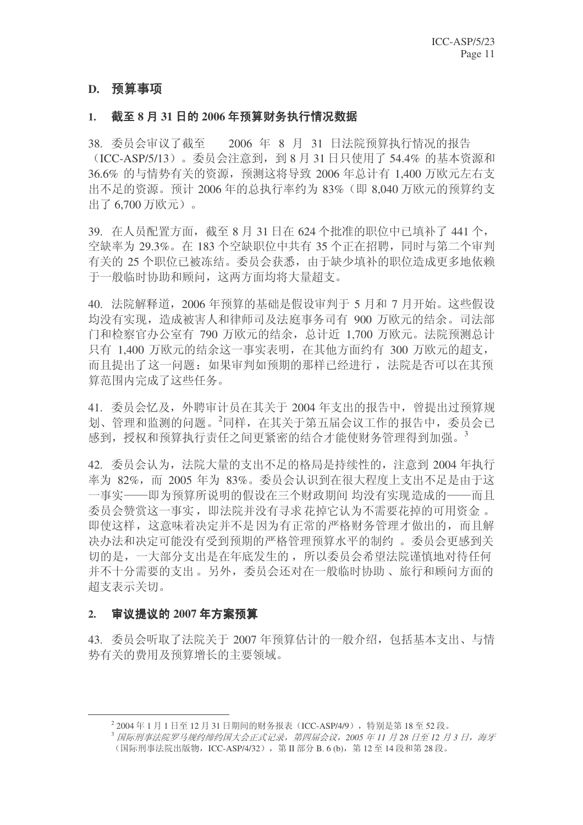### D. 预算事项

### 1. 截至 8 月 31 日的 2006 年预算财务执行情况数据

38. 委员会审议了截至 2006 年 8 月 31 日法院预算执行情况的报告 (ICC-ASP/5/13)。委员会注意到, 到 8 月 31 日只使用了 54.4% 的基本资源和 36.6% 的与情势有关的资源, 预测这将导致 2006 年总计有 1,400 万欧元左右支 出不足的资源。预计 2006 年的总执行率约为 83% (即 8.040 万欧元的预算约支 出了 6.700 万欧元)。

39. 在人员配置方面, 截至 8 月 31 日在 624 个批准的职位中已填补了 441 个, 空缺率为 29.3%。在 183 个空缺职位中共有 35 个正在招聘, 同时与第二个审判 有关的 25 个职位已被冻结。委员会获悉, 由于缺少填补的职位造成更多地依赖 千一般临时协助和顾问, 这两方面均将大量招支。

40. 法院解释道, 2006年预算的基础是假设审判于 5 月和 7 月开始。这些假设 均没有实现, 造成被害人和律师司及法庭事务司有 900 万欧元的结余。司法部 门和检察官办公室有 790 万欧元的结余, 总计近 1,700 万欧元。法院预测总计 只有 1,400 万欧元的结余这一事实表明,在其他方面约有 300 万欧元的超支, 而且提出了这一问题: 如果审判如预期的那样已经进行, 法院是否可以在其预 算范围内完成了这些任务。

41. 委员会忆及, 外聘审计员在其关于 2004 年支出的报告中, 曾提出过预算规 划、管理和监测的问题。<sup>2</sup>同样, 在其关于第五届会议工作的报告中, 委员会已 感到, 授权和预算执行责任之间更紧密的结合才能使财务管理得到加强。<sup>3</sup>

42. 委员会认为, 法院大量的支出不足的格局是持续性的, 注意到 2004 年执行 率为 82%, 而 2005 年为 83%。委员会认识到在很大程度上支出不足是由于这 一事实——即为预算所说明的假设在三个财政期间 均没有实现造成的——而且 委员会赞赏这一事实,即法院并没有寻求花掉它认为不需要花掉的可用资金。 即使这样,这意味着决定并不是因为有正常的严格财务管理才做出的,而且解 决办法和决定可能没有受到预期的严格管理预算水平的制约。委员会更感到关 切的是, 一大部分支出是在年底发生的, 所以委员会希望法院谨慎地对待任何 并不十分需要的支出。另外,委员会还对在一般临时协助、旅行和顾问方面的 招支表示关切。

### 2. 审议提议的 2007 年方案预算

43. 委员会听取了法院关于 2007 年预算估计的一般介绍, 包括基本支出、与情 势有关的费用及预算增长的主要领域。

 $^2$  2004年1月1日至12月31日期间的财务报表(ICC-ASP/4/9),特别是第18至52段。

<sup>3</sup> 国际刑事法院罗马规约缔约国大会正式记录, 第四届会议, 2005 年 11 月 28 日至 12 月 3 日, 海牙 (国际刑事法院出版物, ICC-ASP/4/32), 第Ⅱ部分 B. 6 (b), 第12 至 14 段和第 28 段。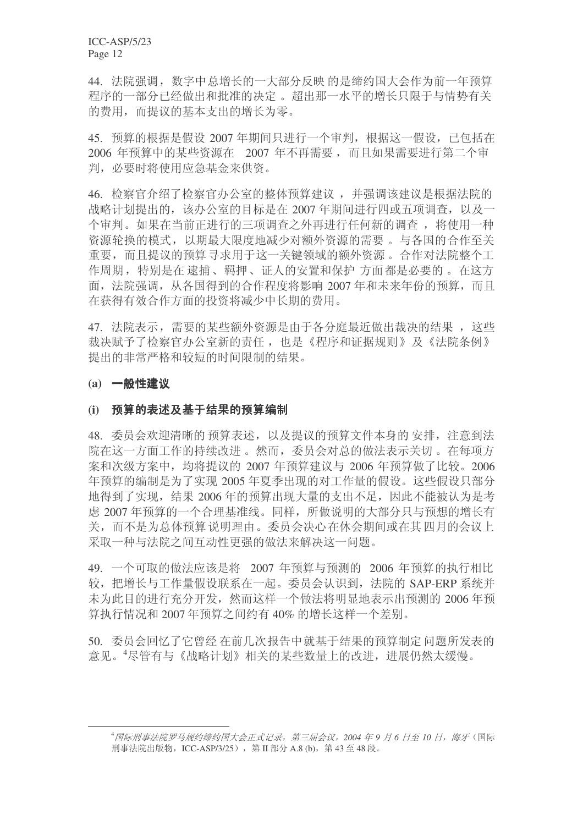44. 法院强调, 数字中总增长的一大部分反映 的是缔约国大会作为前一年预算 程序的一部分已经做出和批准的决定。 超出那一水平的增长只限于与情势有关 的费用, 而提议的基本支出的增长为零。

45. 预算的根据是假设 2007 年期间只进行一个审判, 根据这一假设, 已包括在 2006 年预算中的某些资源在 2007 年不再需要, 而且如果需要进行第二个审 判, 必要时将使用应急基金来供资。

46. 检察官介绍了检察官办公室的整体预算建议, 并强调该建议是根据法院的 战略计划提出的,该办公室的目标是在 2007 年期间进行四或五项调查, 以及一 个审判。如果在当前正进行的三项调查之外再进行任何新的调查, 将使用一种 资源轮换的模式,以期最大限度地减少对额外资源的需要。与各国的合作至关 重要,而且提议的预算寻求用于这一关键领域的额外资源。合作对法院整个工 作周期, 特别是在逮捕、羁押、证人的安置和保护方面都是必要的。在这方 面, 法院强调, 从各国得到的合作程度将影响 2007 年和未来年份的预算, 而且 在获得有效合作方面的投资将减少中长期的费用。

47. 法院表示, 需要的某些额外资源是由于各分庭最近做出裁决的结果, 这些 裁决赋予了检察官办公室新的责任, 也是《程序和证据规则》及《法院条例》 提出的非常严格和较短的时间限制的结果。

### (a) 一般性建议

### (i) 预算的表述及基于结果的预算编制

48. 委员会欢迎清晰的预算表述, 以及提议的预算文件本身的安排, 注意到法 院在这一方面工作的持续改进。然而, 委员会对总的做法表示关切。在每项方 案和次级方案中, 均将提议的 2007 年预算建议与 2006 年预算做了比较。2006 年预算的编制是为了实现 2005 年夏季出现的对工作量的假设。这些假设只部分 地得到了实现, 结果 2006 年的预算出现大量的支出不足, 因此不能被认为是考 虑 2007 年预算的一个合理基准线。同样, 所做说明的大部分只与预想的增长有 关,而不是为总体预算说明理由。委员会决心在休会期间或在其四月的会议上 采取一种与法院之间互动性更强的做法来解决这一问题。

49. 一个可取的做法应该是将 2007 年预算与预测的 2006 年预算的执行相比 较, 把增长与工作量假设联系在一起。委员会认识到, 法院的 SAP-ERP 系统并 未为此目的进行充分开发, 然而这样一个做法将明显地表示出预测的 2006 年预 算执行情况和 2007 年预算之间约有 40% 的增长这样一个差别。

50. 委员会回忆了它曾经 在前几次报告中就基于结果的预算制定 问题所发表的 意见。4尽管有与《战略计划》相关的某些数量上的改进,进展仍然太缓慢。

<sup>&</sup>lt;sup>4</sup>国际刑事法院罗马规约缔约国大会正式记录,第三届会议,2004年9月6日至10日,海牙(国际 刑事法院出版物, ICC-ASP/3/25), 第Ⅱ部分 A.8 (b), 第43至48 段。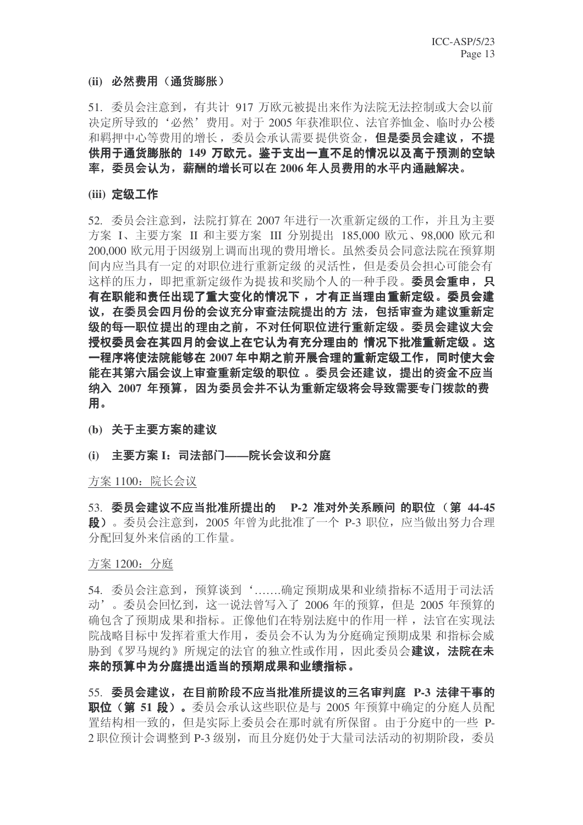### (ii) 必然**费用**(通货膨胀)

51. 委员会注意到, 有共计 917 万欧元被提出来作为法院无法控制或大会以前 决定所导致的'必然'费用。对于 2005 年获准职位、法官养恤金、临时办公楼 和羁押中心等费用的增长, 委员会承认需要提供资金, 但是委员会建议, 不提 供用于通货膨胀的 149 万欧元。鉴于支出一直不足的情况以及高于预测的空缺 率, 委员会认为, 薪酬的增长可以在 2006 年人员费用的水平内通融解决。

### **(iii) 定级工作**

52. 委员会注意到, 法院打算在 2007 年进行一次重新定级的工作, 并且为主要 方案 I、主要方案 II 和主要方案 III 分别提出 185,000 欧元、98,000 欧元和 200,000 欧元用于因级别上调而出现的费用增长。虽然委员会同意法院在预算期 间内应当具有一定的对职位进行重新定级的灵活性,但是委员会担心可能会有 这样的压力, 即把重新定级作为提拔和奖励个人的一种手段。委员会重申, 只 有在职能和责任出现了重大变化的情况下, 才有正当理由重新定级。委员会建 议, 在委员会四月份的会议充分审查法院提出的方 法, 包括审查为建议重新定 级的每一职位提出的理由之前,不对任何职位进行重新定级。委员会建议大会 授权委员会在其四月的会议上在它认为有充分理由的\_情况下批准重新定级 。这 一程序将使法院能够在 2007 年中期之前开展合理的重新定级工作, 同时使大会 能在其第六届会议上审查重新定级的职位 。委员会还建议,提出的资金不应当 纳入 2007 年预算, 因为委员会并不认为重新定级将会导致需要专门拨款的费 用。

(b) 关于主要方案的建议

### (i) 主要方案 I: 司法部门——院长会议和分庭

方案 1100: 院长会议

53. 委员会建议不应当批准所提出的 P-2 准对外关系顾问 的职位 (第 44-45 **段**)。委员会注意到, 2005 年曾为此批准了一个 P-3 职位, 应当做出努力合理 分配回复外来信函的工作量。

方案 1200: 分庭

54. 委员会注意到, 预算谈到' ……..确定预期成果和业绩指标不适用于司法活 动'。委员会回忆到,这一说法曾写入了 2006 年的预算, 但是 2005 年预算的 确包含了预期成果和指标。正像他们在特别法庭中的作用一样, 法官在实现法 院战略目标中发挥着重大作用,委员会不认为为分庭确定预期成果 和指标会威 胁到《罗马规约》所规定的法官的独立性或作用,因此委员会建议,法院在未 来的预算中为分庭提出适当的预期成果和业绩指标。

55. 委员会建议, 在目前阶段不应当批准所提议的三名审判庭 P-3 法律干事的 **职位(第51 段)。**委员会承认这些职位是与 2005 年预算中确定的分庭人员配 置结构相一致的, 但是实际上委员会在那时就有所保留。由于分庭中的一些 P-2 职位预计会调整到 P-3 级别, 而且分庭仍处于大量司法活动的初期阶段, 委员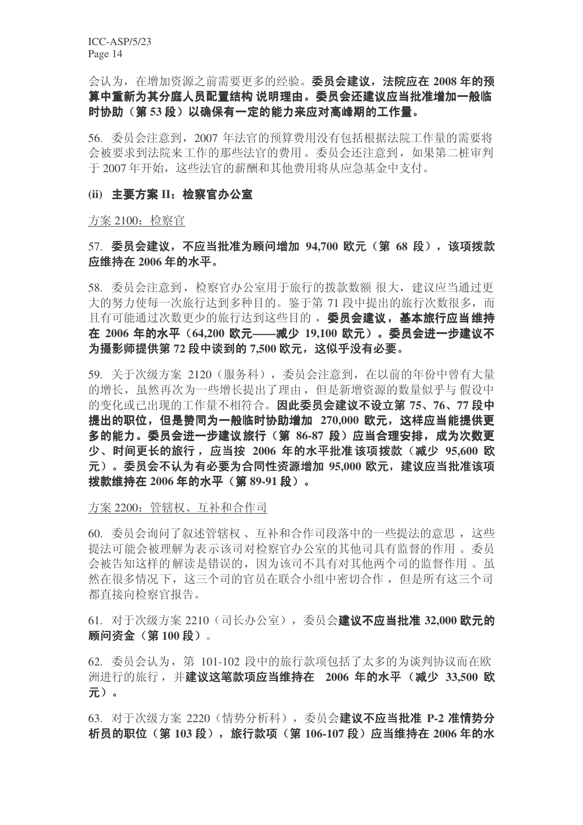会认为, 在增加资源之前需要更多的经验。**委员会建议, 法院应在 2008 年的预** 算中重新为其分庭人员配置结构 说明理由。委员会还建议应当批准增加一般临 时协助 (第53段) 以确保有一定的能力来应对高峰期的工作量。

56. 委员会注意到, 2007 年法官的预算费用没有包括根据法院工作量的需要将 会被要求到法院来工作的那些法官的费用。委员会还注意到,如果第二桩审判 于 2007 年开始, 这些法官的薪酬和其他费用将从应急基金中支付。

### (ii) 主要方案 II: 检察官办公室

方案 2100: 检察官

### 57. 委员会建议, 不应当批准为顾问增加 94,700 欧元 (第 68 段), 该项拨款 应维持在 2006 **年的水平。**

58. 委员会注意到, 检察官办公室用于旅行的拨款数额很大, 建议应当通过更 大的努力使每一次旅行达到多种目的。鉴于第71 段中提出的旅行次数很多,而 且有可能通过次数更少的旅行达到这些目的, 委员会建议, 基本旅行应当维持 在 2006 年的水平 (64,200 欧元——减少 19,100 欧元)。委员会进一步建议不 为摄影师提供第 72 段中谈到的 7,500 欧元, 这似乎没有必要。

59. 关于次级方案 2120 (服务科), 委员会注意到, 在以前的年份中曾有大量 的增长,虽然再次为一些增长提出了理由,但是新增资源的数量似乎与假设中 的变化或已出现的工作量不相符合。因此委员会建议不设立第75、76、77 段中 提出的职位, 但是赞同为一般临时协助增加 270,000 欧元, 这样应当能提供更 多的能力。委员会进一步建议旅行(第 86-87 段)应当合理安排,成为次数更 少、时间更长的旅行, 应当按 2006 年的水平批准该项拨款 (减少 95,600 欧 元)。委员会不认为有必要为合同性资源增加 95,000 欧元,建议应当批准该项 **拨款维持在 2006 年的水平 (第 89-91 段)。** 

#### 方案 2200: 管辖权、互补和合作司

60. 委员会询问了叙述管辖权、互补和合作司段落中的一些提法的意思, 这些 提法可能会被理解为表示该司对检察官办公室的其他司具有监督的作用。 委员 会被告知这样的解读是错误的,因为该司不具有对其他两个司的监督作用。虽 然在很多情况下, 这三个司的官员在联合小组中密切合作, 但是所有这三个司 都直接向检察官报告。

61. 对于次级方案 2210 (司长办公室), 委员会**建议不应当批准 32,000 欧元的 顾问资金(第100段)。** 

 $62.$  委员会认为, 第 101-102 段中的旅行款项包括了太多的为谈判协议而在欧 洲进行的旅行, 并建议这笔款项应当维持在 2006 年的水平(减少 33,500 欧  $\overline{\pi}$ ).

63. 对于次级方案 2220 (情势分析科), 委员会建议不应当批准 P-2 准情势分 ᵤਬⱘ㘠ԡ˄ **103** ↉˅ˈᮙ㸠ℒ乍˄ **106-107** ↉˅ᑨᔧ㓈ᣕ **2006** ᑈⱘ∈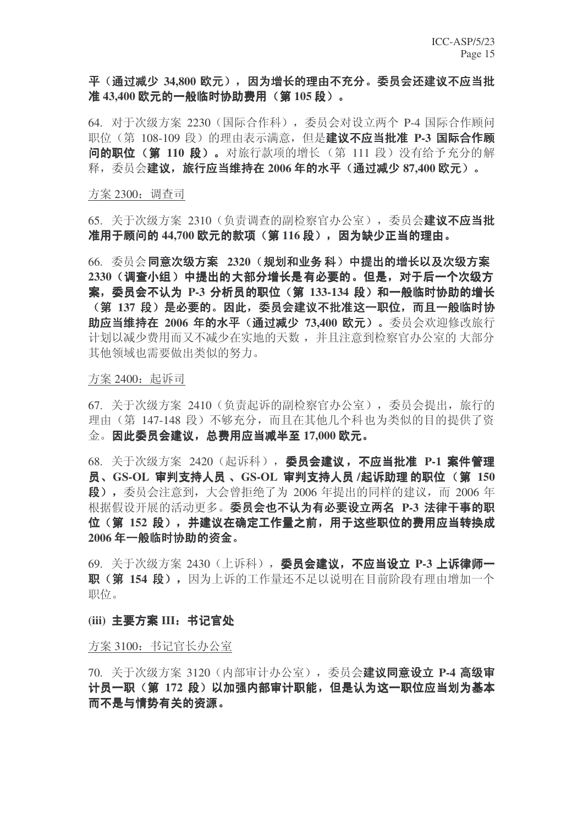### 平(通过减少 34,800 欧元), 因为增长的理由不充分。委员会还建议不应当批 准 43,400 欧元的一般临时协助费用(第 105 段)。

64. 对于次级方案 2230 (国际合作科), 委员会对设立两个 P-4 国际合作顾问 职位(第 108-109 段)的理由表示满意, 但是**建议不应当批准 P-3 国际合作顾** 问的职位(第110段)。对旅行款项的增长(第111段)没有给予充分的解 释, 委员会**建议, 旅行应当维持在 2006 年的水平 (通过减少 87,400 欧元)。** 

#### 方案 2300: 调查司

65. 关于次级方案 2310 (负责调查的副检察官办公室), 委员会建议不应当批 准用于顾问的 44,700 欧元的款项 (第116 段), 因为缺少正当的理由。

66. 委员会**同意次级方案 2320 (规划和业务 科) 中提出的增长以及次级方案** 2330 (调查小组) 中提出的大部分增长是有必要的。但是, 对于后一个次级方 案, 委员会不认为 P-3 分析员的职位 (第 133-134 段) 和一般临时协助的增长 (第 137 段) 是必要的。因此,委员会建议不批准这一职位,而且一般临时协 **助应当维持在 2006 年的水平 (通过减少 73,400 欧元)。**委员会欢迎修改旅行 计划以减少费用而又不减少在实地的天数,并且注意到检察官办公室的大部分 其他领域也需要做出类似的努力。

#### 方案 2400: 起诉司

67. 关于次级方案 2410 (负责起诉的副检察官办公室), 委员会提出, 旅行的 理由(第 147-148 段) 不够充分, 而且在其他几个科也为类似的目的提供了资 金。因此委员会建议,总费用应当减半至 17,000 欧元。

68. 关于次级方案 2420 (起诉科), 委员会建议, 不应当批准 P-1 案件管理 员、GS-OL 审判支持人员 、GS-OL 审判支持人员 /起诉助理 的职位 (第 150 **段),** 委员会注意到, 大会曾拒绝了为 2006 年提出的同样的建议, 而 2006 年 根据假设开展的活动更多。委员会也不认为有必要设立两名 P-3 法律干事的职 位 (第 152 段), 并建议在确定工作量之前, 用于这些职位的费用应当转换成 2006年一般临时协助的资金。

69. 关于次级方案 2430 (上诉科), 委员会建议, 不应当设立 P-3 上诉律师一 职(第 154 段), 因为上诉的工作量还不足以说明在目前阶段有理由增加一个 职位。

### (iii) 主要方案 III: 书记官处

方案 3100: 书记官长办公室

70. 关于次级方案 3120 (内部审计办公室), 委员会**建议同意设立 P-4 高级宙** 计员一职(第 172 段)以加强内部审计职能,但是认为这一职位应当划为基本 而不是与情势有关的资源。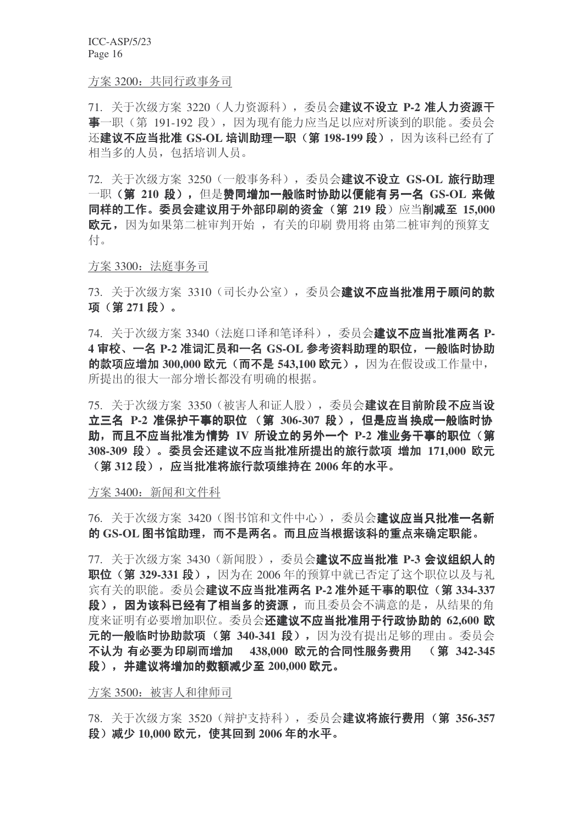方案 3200: 共同行政事务司

71. 关于次级方案 3220 (人力资源科), 委员会建议不设立 P-2 准人力资源于 事一职(第 191-192 段), 因为现有能力应当足以应对所谈到的职能。委员会 还建议不应当批准 GS-OL 培训助理一职(第198-199 段), 因为该科已经有了 相当多的人员, 包括培训人员。

72. 关于次级方案 3250 (一般事务科), 委员会**建议不设立 GS-OL 旅行助理** 一职(第 210 段), 但是赞同增加一般临时协助以便能有另一名 GS-OL 来做 同样的工作。委员会建议用于外部印刷的资金(第 219 段)应当削减至 15,000 欧元, 因为如果第二桩审判开始, 有关的印刷 费用将 由第二桩审判的预算支 付。

方案 3300: 法庭事务司

73. 关于次级方案 3310 (司长办公室), 委员会建议不应当批准用于顾问的款 项 (第271段)。

74. 关于次级方案 3340 (法庭口译和笔译科), 委员会建议不应当批准两名 P-4 审校、一名 P-2 准词汇员和一名 GS-OL 参考资料助理的职位, 一般临时协助 的款项应增加 300,000 欧元 (而不是 543,100 欧元), 因为在假设或工作量中, 所提出的很大一部分增长都没有明确的根据。

75. 关于次级方案 3350 (被害人和证人股), 委员会建议在目前阶段不应当设 立三名 P-2 准保护干事的职位 (第 306-307 段), 但是应当换成一般临时协 助, 而且不应当批准为情势 IV 所设立的另外一个 P-2 准业务干事的职位 (第 308-309 段)。委员会还建议不应当批准所提出的旅行款项 增加 171,000 欧元 **(第312 段),应当批准将旅行款项维持在 2006 年的水平。** 

方案 3400: 新闻和文件科

76. 关于次级方案 3420 (图书馆和文件中心), 委员会建议应当只批准一名新 的 GS-OL 图书馆助理,而不是两名。而且应当根据该科的重点来确定职能。

77. 关于次级方案 3430 (新闻股), 委员会建议不应当批准 P-3 会议组织人的 职位(第 329-331 段), 因为在 2006年的预算中就已否定了这个职位以及与礼 宾有关的职能。委员会建议不应当批准两名 P-2 准外延干事的职位(第334-337 段), 因为该科已经有了相当多的资源, 而且委员会不满意的是, 从结果的角 度来证明有必要增加职位。委员会还建议不应当批准用于行政协助的 62,600 欧 元的一般临时协助款项(第 340-341 段), 因为没有提出足够的理由。委员会 不认为 有必要为印刷而增加 438,000 欧元的合同性服务费用 (第 342-345 **段), 并建议将增加的数额减少至 200,000 欧元。** 

方案 3500: 被害人和律师司

78. 关于次级方案 3520 (辩护支持科), 委员会**建议将旅行费用 (第 356-357 段)减少 10,000 欧元, 使其回到 2006年的水平。**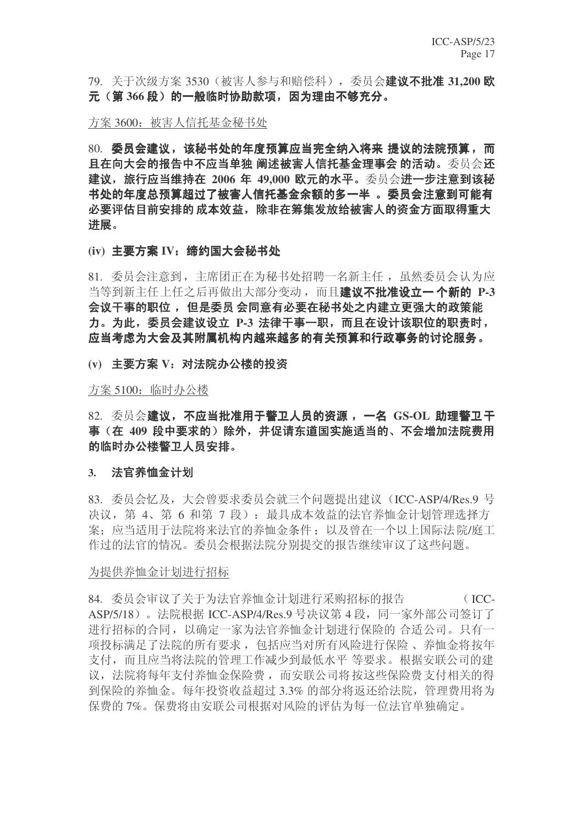79. 关于次级方案 3530 (被害人参与和赔偿科), 委员会**建议不批准 31.200 欧** 元 (第366 段) 的一般临时协助款项, 因为理由不够充分。

方案 3600: 被害人信托基金秘书处

80. 委员会建议,该秘书处的年度预算应当完全纳入将来 提议的法院预算,而 且在向大会的报告中不应当单独 阐述被害人信托基金理事会 的活动。委员会还 建议,旅行应当维持在 2006 年 49,000 欧元的水平。委员会进一步注意到该秘 书处的年度总预算超过了被害人信托基金余额的多一半 。委员会注意到可能有 必要评估目前安排的 成本效益,除非在筹集发放给被害人的资金方面取得重大 进展。

(iv) 主要方案 IV: 缔约国大会秘书处

81. 委员会注意到, 主席团正在为秘书处招聘一名新主任, 虽然委员会认为应 当等到新主任上任之后再做出大部分变动,而且建议不批准设立一个新的 P-3 会议于事的职位,但是委员会同意有必要在秘书处之内建立更强大的政策能 力。为此, 委员会建议设立 P-3 法律干事一职, 而且在设计该职位的职责时, 应当考虑为大会及其附属机构内越来越多的有关预算和行政事务的讨论服务。

(v) 主要方案 V: 对法院办公楼的投资

方案 5100: 临时办公楼

82. 委员会建议, 不应当批准用于警卫人员的资源, 一名 GS-OL 助理警卫干 事(在 409 段中要求的)除外,并促请东道国实施适当的、不会增加法院费用 的临时办公楼警卫人员安排。

#### 3. 法官养恤金计划

 $83.$  委员会忆及, 大会曾要求委员会就三个问题提出建议 (ICC-ASP/4/Res.9 号 决议, 第 4、第 6 和第 7 段): 最具成本效益的法官养恤金计划管理选择方 案; 应当适用于法院将来法官的养恤金条件; 以及曾在一个以上国际法院/庭工 作过的法官的情况。委员会根据法院分别提交的报告继续审议了这些问题。

#### 为提供养恤金计划进行招标

84. 委员会审议了关于为法官养恤金计划讲行采购招标的报告 (ICC-ASP/5/18)。法院根据 ICC-ASP/4/Res.9 号决议第 4 段, 同一家外部公司签订了 进行招标的合同, 以确定一家为法官养恤金计划进行保险的 合适公司。只有一 项投标满足了法院的所有要求, 包括应当对所有风险进行保险、养恤金将按年 支付,而且应当将法院的管理工作减少到最低水平等要求。根据安联公司的建 议, 法院将每年支付养恤金保险费, 而安联公司将按这些保险费支付相关的得 到保险的养恤金。每年投资收益超过3.3% 的部分将返还给法院,管理费用将为 保费的7%。保费将由安联公司根据对风险的评估为每一位法官单独确定。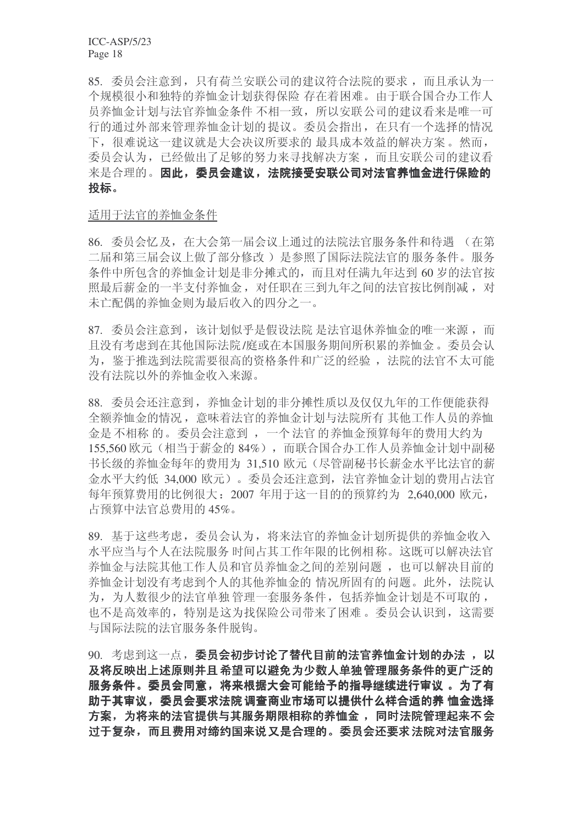85. 委员会注意到, 只有荷兰安联公司的建议符合法院的要求, 而且承认为一 个规模很小和独特的养恤金计划获得保险 存在着困难。由于联合国合办工作人 员养恤金计划与法官养恤金条件 不相一致, 所以安联公司的建议看来是唯一可 行的通过外部来管理养恤金计划的提议。委员会指出, 在只有一个选择的情况 下,很难说这一建议就是大会决议所要求的最具成本效益的解决方案。然而, 委员会认为,已经做出了足够的努力来寻找解决方案,而且安联公司的建议看 来是合理的。因此, 委员会建议, 法院接受安联公司对法官养恤金进行保险的 投标。

### 适用于法官的养恤金条件

86. 委员会忆及, 在大会第一届会议上通过的法院法官服务条件和待遇 (在第 二届和第三届会议上做了部分修改)是参照了国际法院法官的服务条件。服务 条件中所包含的养恤金计划是非分摊式的,而且对任满九年达到 60 岁的法官按 照最后薪金的一半支付养恤金, 对任职在三到九年之间的法官按比例削减, 对 未亡配偶的养恤金则为最后收入的四分之一。

87. 委员会注意到, 该计划似乎是假设法院 是法官退休养恤金的唯一来源, 而 且没有考虑到在其他国际法院/庭或在本国服务期间所积累的养恤金。委员会认 为, 鉴于推选到法院需要很高的资格条件和广泛的经验, 法院的法官不太可能 没有法院以外的养恤金收入来源。

88. 委员会还注意到, 养恤金计划的非分摊性质以及仅仅九年的工作便能获得 全额养恤金的情况, 意味着法官的养恤金计划与法院所有 其他工作人员的养恤 金是不相称的。委员会注意到,一个法官的养恤金预算每年的费用大约为 155.560 欧元(相当于薪金的 84%), 而联合国合办工作人员养恤金计划中副秘 书长级的养恤金每年的费用为 31,510 欧元(尽管副秘书长薪金水平比法官的薪 金水平大约低 34,000 欧元)。委员会还注意到, 法官养恤金计划的费用占法官 每年预算费用的比例很大: 2007 年用于这一目的的预算约为 2.640,000 欧元, 占预算中法官总费用的 45%。

89. 基于这些考虑, 委员会认为, 将来法官的养恤金计划所提供的养恤金收入 水平应当与个人在法院服务时间占其工作年限的比例相称。这既可以解决法官 养恤金与法院其他工作人员和官员养恤金之间的差别问题,也可以解决目前的 养恤金计划没有考虑到个人的其他养恤金的 情况所固有的问题。此外,法院认 为, 为人数很少的法官单独管理一套服务条件, 包括养恤金计划是不可取的, 也不是高效率的,特别是这为找保险公司带来了困难。委员会认识到,这需要 与国际法院的法官服务条件脱钩。

90. 考虑到这一点, 委员会初步讨论了替代目前的法官养恤金计划的办法, 以 及将反映出上述原则并且希望可以避免为少数人单独管理服务条件的更广泛的 服务条件。委员会同意,将来根据大会可能给予的指导继续进行审议 。为了有 助于其审议,委员会要求法院 调查商业市场可以提供什么样合适的养 恤金选择 方案,为将来的法官提供与其服务期限相称的养恤金,同时法院管理起来不会 讨于复杂,而且费用对缔约国来说又是合理的。委员会还要求法院对法官服务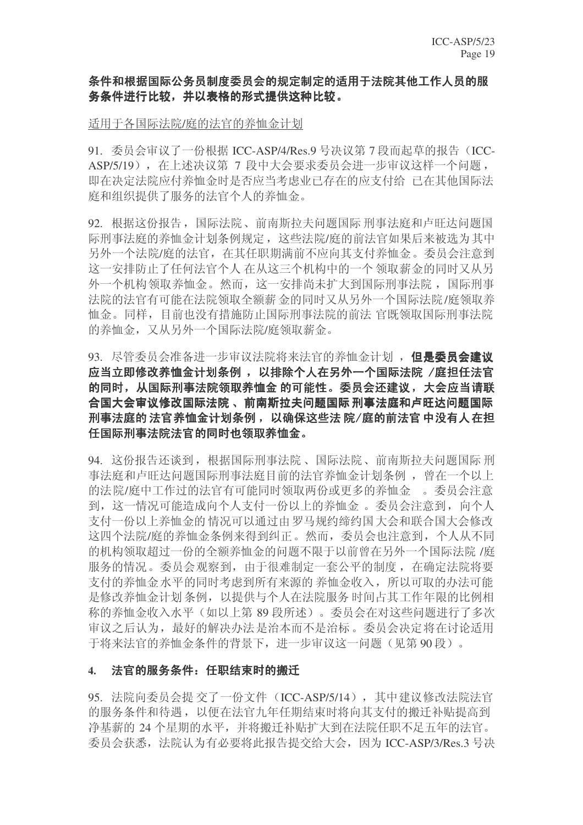### 条件和根据国际公务员制度委员会的规定制定的适用于法院其他工作人员的服 务条件进行比较,并以表格的形式提供这种比较。

### 适用于各国际法院/庭的法官的养恤金计划

91. 委员会审议了一份根据 ICC-ASP/4/Res.9 号决议第 7 段而起草的报告 (ICC-ASP/5/19), 在上述决议第 7 段中大会要求委员会进一步审议这样一个问题, 即在决定法院应付养恤金时是否应当考虑业已存在的应支付给 已在其他国际法 庭和组织提供了服务的法官个人的养恤金。

92. 根据这份报告, 国际法院、前南斯拉夫问题国际 刑事法庭和卢旺达问题国 际刑事法庭的养恤金计划条例规定, 这些法院/庭的前法官如果后来被选为其中 另外一个法院/庭的法官, 在其任职期满前不应向其支付养恤金。委员会注意到 这一安排防止了任何法官个人 在从这三个机构中的一个 领取薪金的同时又从另 外一个机构领取养恤金。然而, 这一安排尚未扩大到国际刑事法院, 国际刑事 法院的法官有可能在法院领取全额薪金的同时又从另外一个国际法院/庭领取养 恤金。同样,目前也没有措施防止国际刑事法院的前法 官既领取国际刑事法院 的养恤金, 又从另外一个国际法院/庭领取薪金。

93. 尽管委员会准备进一步审议法院将来法官的养恤金计划, 但是委员会建议 应当立即修改养恤金计划条例, 以排除个人在另外一个国际法院 /庭担任法官 的同时,从国际刑事法院领取养恤金 的可能性。委员会还建议, 大会应当请联 合国大会审议修改国际法院 、前南斯拉夫问题国际 刑事法庭和卢旺达问题国际 刑事法庭的 法官养恤金计划条例, 以确保这些法 院/庭的前法官 中没有人在担 任国际刑事法院法官的同时也领取养恤金。

94. 这份报告还谈到, 根据国际刑事法院、国际法院、前南斯拉夫问题国际刑 事法庭和卢旺达问题国际刑事法庭目前的法官养恤金计划条例, 曾在一个以上 的法院/庭中工作过的法官有可能同时领取两份或更多的养恤金。委员会注意 到, 这一情况可能造成向个人支付一份以上的养恤金。委员会注意到, 向个人 支付一份以上养恤金的情况可以通过由罗马规约缔约国大会和联合国大会修改 这四个法院/庭的养恤金条例来得到纠正。然而,委员会也注意到,个人从不同 的机构领取超过一份的全额养恤金的问题不限于以前曾在另外一个国际法院/庭 服务的情况。委员会观察到,由于很难制定一套公平的制度,在确定法院将要 支付的养恤金水平的同时考虑到所有来源的养恤金收入,所以可取的办法可能 是修改养恤金计划条例, 以提供与个人在法院服务时间占其工作年限的比例相 称的养恤金收入水平(如以上第89段所述)。委员会在对这些问题进行了多次 审议之后认为, 最好的解决办法是治本而不是治标。委员会决定将在讨论适用 干将来法官的养恤金条件的背景下, 讲一步审议这一问题(见第90段)。

### 4. 決官的服务条件: 仟职结束时的搬迁

95. 法院向委员会提 交了一份文件 (ICC-ASP/5/14), 其中建议修改法院法官 的服务条件和待遇, 以便在法官九年任期结束时将向其支付的搬迁补贴提高到 净基薪的 24 个星期的水平, 并将搬迁补贴扩大到在法院任职不足五年的法官。 委员会获悉, 法院认为有必要将此报告提交给大会, 因为 ICC-ASP/3/Res.3 号决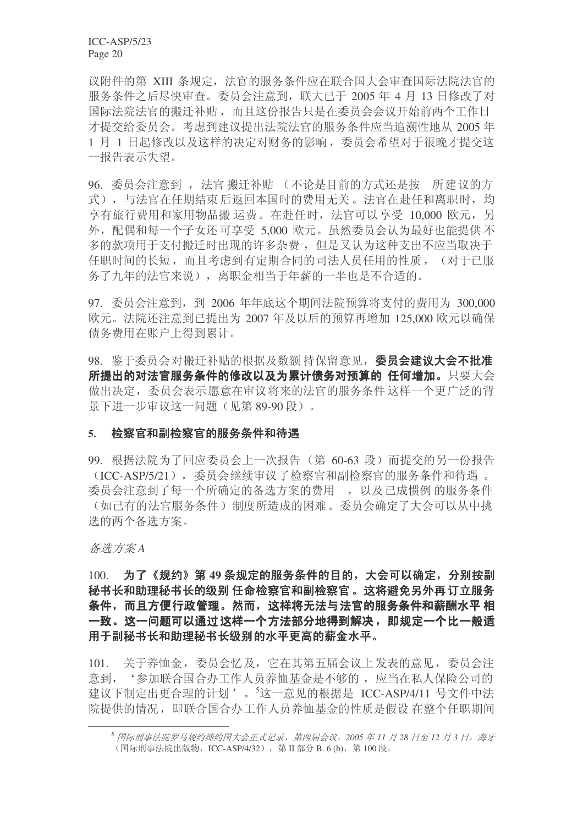议附件的第 XIII 条规定, 法官的服务条件应在联合国大会审查国际法院法官的 服务条件之后尽快审查。委员会注意到, 联大已干 2005 年 4 月 13 日修改了对 国际法院法官的搬迁补贴, 而且这份报告只是在委员会会议开始前两个工作日 才提交给委员会。考虑到建议提出法院法官的服务条件应当追溯性地从 2005 年 1 月 1 日起修改以及这样的决定对财务的影响, 委员会希望对于很晚才提交这 一报告表示失望。

96. 委员会注意到, 法官搬迁补贴(不论是目前的方式还是按 所建议的方 式), 与法官在任期结束后返回本国时的费用无关。法官在赴任和离职时, 均 享有旅行费用和家用物品搬运费。在赴任时, 法官可以享受 10.000 欧元, 另 外,配偶和每一个子女还可享受 5,000 欧元。虽然委员会认为最好也能提供不 多的款项用于支付搬迁时出现的许多杂费, 但是又认为这种支出不应当取决于 任职时间的长短,而且考虑到有定期合同的司法人员任用的性质, (对于已服 务了九年的法官来说),离职金相当于年薪的一半也是不合适的。

97. 委员会注意到, 到 2006 年年底这个期间法院预算将支付的费用为 300,000 欧元。法院还注意到已提出为 2007 年及以后的预算再增加 125,000 欧元以确保 债务费用在账户上得到累计。

98. 鉴于委员会对搬迁补贴的根据及数额持保留意见, 委员会建议大会不批准 所提出的对法官服务条件的修改以及为累计债务对预算的 任何增加。只要大会 做出决定, 委员会表示愿意在审议将来的法官的服务条件这样一个更广泛的背 景下讲一步审议这一问题(见第 89-90 段)。

#### 5. 检察官和副检察官的服务条件和待遇

99. 根据法院为了回应委员会上一次报告(第 60-63 段)而提交的另一份报告 (ICC-ASP/5/21), 委员会继续审议了检察官和副检察官的服务条件和待遇。 委员会注意到了每一个所确定的备选方案的费用, 以及已成惯例 的服务条件 (如已有的法官服务条件) 制度所造成的困难。委员会确定了大会可以从中挑 选的两个备选方案。

#### 䗝ᮍḜ *A*

100. 为了《规约》第49 条规定的服务条件的目的,大会可以确定,分别按副 秘书长和助理秘书长的级别 任命检察官和副检察官。这将避免另外再订立服务 条件,而且方便行政管理。然而,这样将无法与法官的服务条件和薪酬水平 相 一致。这一问题可以通过这样一个方法部分地得到解决,即规定一个比一般适 用于副秘书长和助理秘书长级别的水平更高的薪金水平。

101. 关于养恤金, 委员会忆及, 它在其第五届会议上发表的意见, 委员会注 意到, '参加联合国合办工作人员养恤基金是不够的, 应当在私人保险公司的 建议下制定出更合理的计划'。<sup>5</sup>这一意见的根据是 ICC-ASP/4/11 号文件中法 院提供的情况, 即联合国合办工作人员养恤基金的性质是假设 在整个任职期间

<sup>5</sup> 国际刑事法院罗马规约缔约国大会正式记录, 第四届会议, 2005 年 11 月 28 日至 12 月 3 日, 海牙 (国际刑事法院出版物, ICC-ASP/4/32), 第Ⅱ部分 B. 6 (b), 第100 段。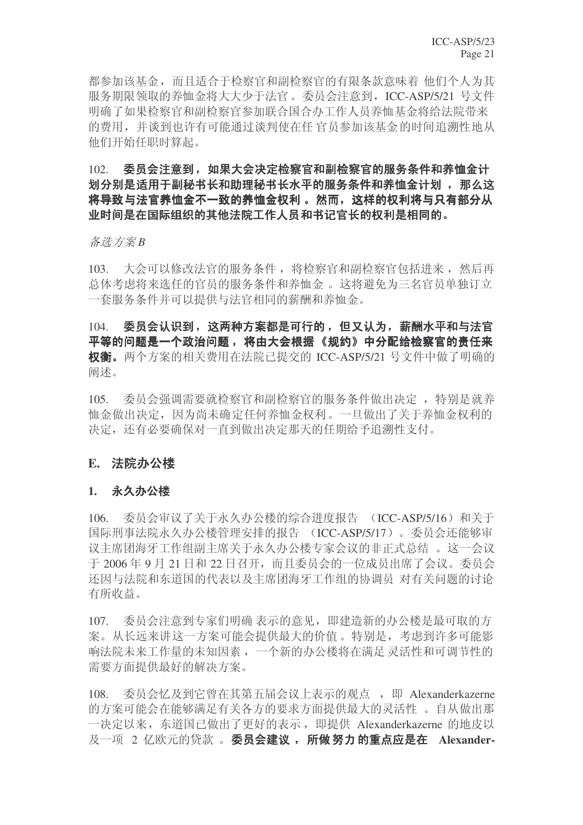都参加该基金,而且适合于检察官和副检察官的有限条款意味着 他们个人为其 服务期限领取的养恤金将大大少干法官。委员会注意到, ICC-ASP/5/21 号文件 明确了如果检察官和副检察官参加联合国合办工作人员养恤基金将给法院带来 的费用,并谈到也许有可能通过谈判使在任 官员参加该基金的时间追溯性地从 他们开始任职时算起。

### $102.$  委员会注意到,如果大会决定检察官和副检察官的服务条件和养恤金计 划分别是话用于副秘书长和助理秘书长水平的服务条件和养恤金计划 , 那么这 将导致与法官养恤金不一致的养恤金权利。 然而,这样的权利将与只有部分从 业时间是在国际组织的其他法院工作人员和书记官长的权利是相同的。

䗝ᮍḜ *B*

103. 大会可以修改法官的服务条件, 将检察官和副检察官包括讲来, 然后再 总体考虑将来选任的官员的服务条件和养恤金。这将避免为三名官员单独订立 一套服务条件并可以提供与法官相同的薪酬和养恤金。

104. 委员会认识到,这两种方案都是可行的,但又认为,薪酬水平和与法官 平等的问题是一个政治问题, 将由大会根据《规约》中分配给检察官的责任来 权衡。两个方案的相关费用在法院已提交的 ICC-ASP/5/21 号文件中做了明确的 阖述。

105. 委员会强调需要就检察官和副检察官的服务条件做出决定, 特别是就养 恤金做出决定,因为尚未确定任何养恤金权利。一旦做出了关于养恤金权利的 决定, 还有必要确保对一直到做出决定那天的任期给予追溯性支付。

### E. 法院办公楼

### 1. 永久办公楼

106. 委员会审议了关于永久办公楼的综合进度报告 (ICC-ASP/5/16) 和关于 国际刑事法院永久办公楼管理安排的报告 (ICC-ASP/5/17)。委员会还能够审 议主席团海牙工作组副主席关于永久办公楼专家会议的非正式总结 。这一会议 于 2006年 9 月 21 日和 22 日召开, 而且委员会的一位成员出席了会议。委员会 还因与法院和东道国的代表以及主席团海牙工作组的协调员 对有关问题的讨论 有所收益。

107. 委员会注意到专家们明确表示的意见,即建造新的办公楼是最可取的方 案。从长远来讲这一方案可能会提供最大的价值。特别是,考虑到许多可能影 响法院未来工作量的未知因素, 一个新的办公楼将在满足 灵活性和可调节性的 需要方面提供最好的解决方案。

108. 委员会忆及到它曾在其第五届会议上表示的观点, 即 Alexanderkazerne 的方案可能会在能够满足有关各方的要求方面提供最大的灵活性。自从做出那 一决定以来, 东道国已做出了更好的表示, 即提供 Alexanderkazerne 的地皮以 及一项 2 亿欧元的贷款 。 委员会建议, 所做 努力 的重点应是在 Alexander-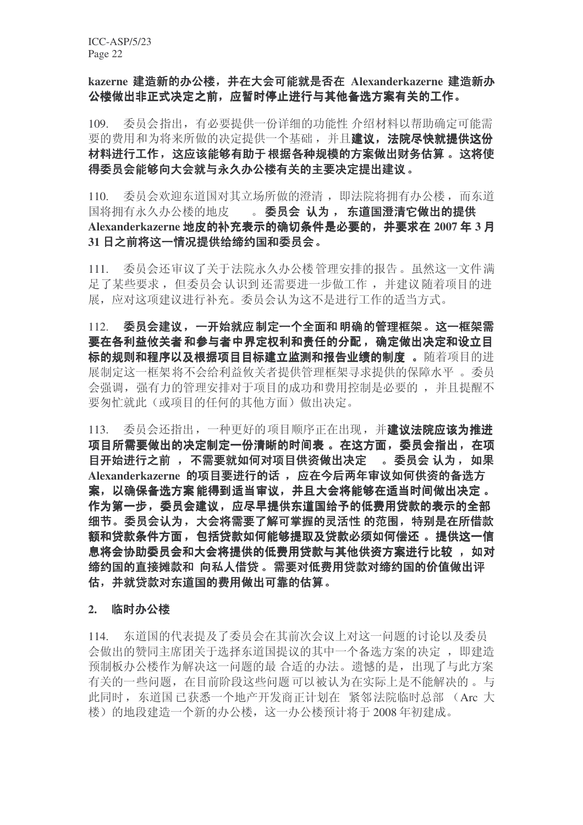### kazerne 建造新的办公楼, 并在大会可能就是否在 Alexanderkazerne 建造新办 公楼做出非正式决定之前,应暂时停止进行与其他备选方案有关的工作。

109. 委员会指出,有必要提供一份详细的功能性介绍材料以帮助确定可能需 要的费用和为将来所做的决定提供一个基础,并且建议,法院尽快就提供这份 材料进行工作,这应该能够有助于根据各种规模的方案做出财务估算。这将使 得委员会能够向大会就与永久办公楼有关的主要决定提出建议。

110. 委员会欢迎东道国对其立场所做的澄清, 即法院将拥有办公楼, 而东道 国将拥有永久办公楼的地皮 。 委员会 认为, 东道国澄清它做出的提供 Alexanderkazerne 地皮的补充表示的确切条件是必要的, 并要求在 2007 年 3 月 31 日之前将这一情况提供给缔约国和委员会。

111. 委员会还审议了关于法院永久办公楼管理安排的报告。虽然这一文件满 足了某些要求, 但委员会认识到还需要进一步做工作, 并建议随着项目的进 展, 应对这项建议进行补充。委员会认为这不是进行工作的适当方式。

112. 委员会建议,一开始就应制定一个全面和明确的管理框架。这一框架需 要在各利益攸关者和参与者中界定权利和责任的分配,确定做出决定和设立目 标的规则和程序以及根据项目目标建立监测和报告业绩的制度。随着项目的进 展制定这一框架将不会给利益攸关者提供管理框架寻求提供的保障水平。委员 会强调, 强有力的管理安排对于项目的成功和费用控制是必要的, 并且提醒不 要匆忙就此(或项目的仟何的其他方面)做出决定。

113. 委员会还指出, 一种更好的项目顺序正在出现, 并建议法院应该为推进 项目所需要做出的决定制定一份清晰的时间表 。在这方面, 委员会指出, 在项 目开始进行之前 , 不需要就如何对项目供资做出决定 。委员会 认为, 如果 Alexanderkazerne 的项目要讲行的话, 应在今后两年审议如何供资的备洗方 案,以确保备选方案能得到适当审议,并且大会将能够在适当时间做出决定。 作为第一步,委员会建议,应尽早提供东道国给予的低费用贷款的表示的全部 细节。委员会认为,大会将需要了解可掌握的灵活性 的范围,特别是在所借款 额和贷款条件方面, 包括贷款如何能够提取及贷款必须如何偿还 。提供这一信 息将会协助委员会和大会将提供的低费用贷款与其他供资方案进行比较, 如对 缔约国的直接摊款和 向私人借贷。需要对低费用贷款对缔约国的价值做出评 估,并就贷款对东道国的费用做出可靠的估算。

#### 2. 临时办公楼

114. 东道国的代表提及了委员会在其前次会议上对这一问题的讨论以及委员 会做出的赞同主席团关于选择东道国提议的其中一个备选方案的决定, 即建造 预制板办公楼作为解决这一问题的最 合适的办法。遗憾的是, 出现了与此方案 有关的一些问题, 在目前阶段这些问题可以被认为在实际上是不能解决的。与 此同时, 东道国已获悉一个地产开发商正计划在 紧邻法院临时总部 (Arc 大 楼)的地段建造一个新的办公楼,这一办公楼预计将于2008年初建成。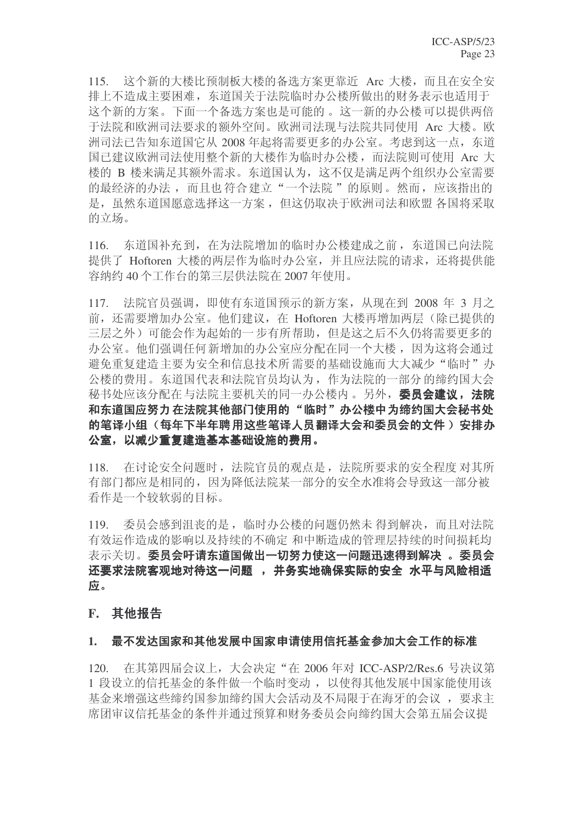115. 这个新的大楼比预制板大楼的备选方案更靠近 Arc 大楼, 而且在安全安 排上不造成主要困难, 东道国关于法院临时办公楼所做出的财务表示也适用于 这个新的方案。下面一个备选方案也是可能的。这一新的办公楼可以提供两倍 于法院和欧洲司法要求的额外空间。欧洲司法现与法院共同使用 Arc 大楼。欧 洲司法已告知东道国它从 2008 年起将需要更多的办公室。考虑到这一点, 东道 国已建议欧洲司法使用整个新的大楼作为临时办公楼,而法院则可使用 Arc 大 楼的 B 楼来满足其额外需求。东道国认为, 这不仅是满足两个组织办公室需要 的最经济的办法,而且也符合建立"一个法院"的原则。然而,应该指出的 是, 虽然东道国愿意选择这一方案, 但这仍取决于欧洲司法和欧盟各国将采取 的立场。

116. 东道国补充到, 在为法院增加的临时办公楼建成之前, 东道国已向法院 提供了 Hoftoren 大楼的两层作为临时办公室, 并且应法院的请求, 还将提供能 容纳约 40 个工作台的第三层供法院在 2007 年使用。

117. 法院官员强调, 即使有东道国预示的新方案, 从现在到 2008 年 3 月之 前, 还需要增加办公室。他们建议, 在 Hoftoren 大楼再增加两层(除已提供的 三层之外)可能会作为起始的一步有所帮助,但是这之后不久仍将需要更多的 办公室。他们强调任何新增加的办公室应分配在同一个大楼,因为这将会通过 避免重复建造主要为安全和信息技术所需要的基础设施而大大减少"临时"办 公楼的费用。东道国代表和法院官员均认为, 作为法院的一部分的缔约国大会 秘书处应该分配在与法院主要机关的同一办公楼内。另外, 委员会建议, 法院 和东道国应努力在法院其他部门使用的"临时"办公楼中为缔约国大会秘书处 的笔译小组(每年下半年聘用这些笔译人员翻译大会和委员会的文件) 安排办 公室, 以减少重复建造基本基础设施的费用。

118. 在讨论安全问题时, 法院官员的观点是, 法院所要求的安全程度 对其所 有部门都应是相同的,因为降低法院某一部分的安全水准将会导致这一部分被 看作是一个较软弱的目标。

119. 委员会感到泪丧的是, 临时办公楼的问题仍然未 得到解决, 而且对法院 有效运作造成的影响以及持续的不确定 和中断造成的管理层持续的时间损耗均 表示关切。委员会吁请东道国做出一切努力使这一问题迅速得到解决 。委员会 还要求法院客观地对待这一问题 , 并务实地确保实际的安全 水平与风险相适 应。

### **F.** 其他报告

### 1. 最不发达国家和其他发展中国家申请使用信托基金参加大会工作的标准

120. 在其第四届会议上,大会决定"在 2006 年对 ICC-ASP/2/Res.6 号决议第 1 段设立的信托基金的条件做一个临时变动, 以使得其他发展中国家能使用该 基金来增强这些缔约国参加缔约国大会活动及不局限于在海牙的会议,要求主 席团审议信托基金的条件并通过预算和财务委员会向缔约国大会第五届会议提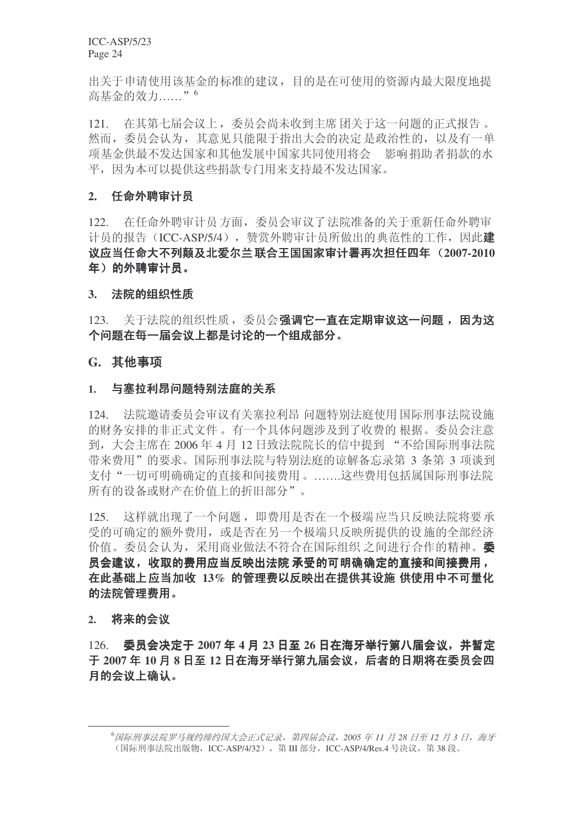出关于申请使用该基金的标准的建议, 目的是在可使用的资源内最大限度地提 高基金的效力......"<sup>6</sup>

121. 在其第七届会议上,委员会尚未收到主席团关于这一问题的正式报告。 然而, 委员会认为, 其意见只能限于指出大会的决定 是政治性的, 以及有一单 项基金供最不发达国家和其他发展中国家共同使用将会。影响捐助者捐款的水 平, 因为本可以提供这些捐款专门用来支持最不发达国家。

### 2. 任命外聘审计员

122. 在任命外聘审计员方面,委员会审议了法院准备的关于重新任命外聘审 计员的报告(ICC-ASP/5/4), 赞赏外聘审计员所做出的典范性的工作, 因此建 议应当任命大不列颠及北爱尔兰联合王国国家审计署再次担任四年 (2007-2010 年)的外聘审计员。

#### 3. 法院的组织性质

123. 关于法院的组织性质, 委员会强调它一直在定期审议这一问题, 因为这 个问题在每一届会议上都是讨论的一个组成部分。

#### **G.** 其他事项

#### 1. 与塞拉利昂问题特别法庭的关系

124. 法院邀请委员会审议有关塞拉利昂问题特别法庭使用国际刑事法院设施 的财务安排的非正式文件。有一个具体问题涉及到了收费的 根据。委员会注意 到,大会主席在 2006年4月12日致法院院长的信中提到"不给国际刑事法院 带来费用"的要求。国际刑事法院与特别法庭的谅解备忘录第3 条第3 项谈到 支付"一切可明确确定的直接和间接费用。……..这些费用包括属国际刑事法院 所有的设备或财产在价值上的折旧部分"。

125. 这样就出现了一个问题,即费用是否在一个极端应当只反映法院将要承 受的可确定的额外费用, 或是否在另一个极端只反映所提供的设 施的全部经济 价值。委员会认为,采用商业做法不符合在国际组织 之间进行合作的精神。 员会建议,收取的费用应当反映出法院 承受的可明确确定的直接和间接费用, 在此基础上应当加收 13% 的管理费以反映出在提供其设施 供使用中不可量化 的法院管理费用。

#### 2. 将来的会议

126. 委员会决定于 2007 年 4 月 23 日至 26 日在海牙举行第八届会议, 并暂定  $\pm$  2007 年 10 月 8 日至 12 日在海牙举行第九届会议, 后者的日期将在委员会四 月的会议上确认。

<sup>&</sup>lt;sup>6</sup>国际刑事法院罗马规约缔约国大会正式记录, 第四届会议, 2005 年 11 月 28 日至 12 月 3 日, 海牙 (国际刑事法院出版物, ICC-ASP/4/32), 第 III 部分, ICC-ASP/4/Res.4 号决议, 第 38 段。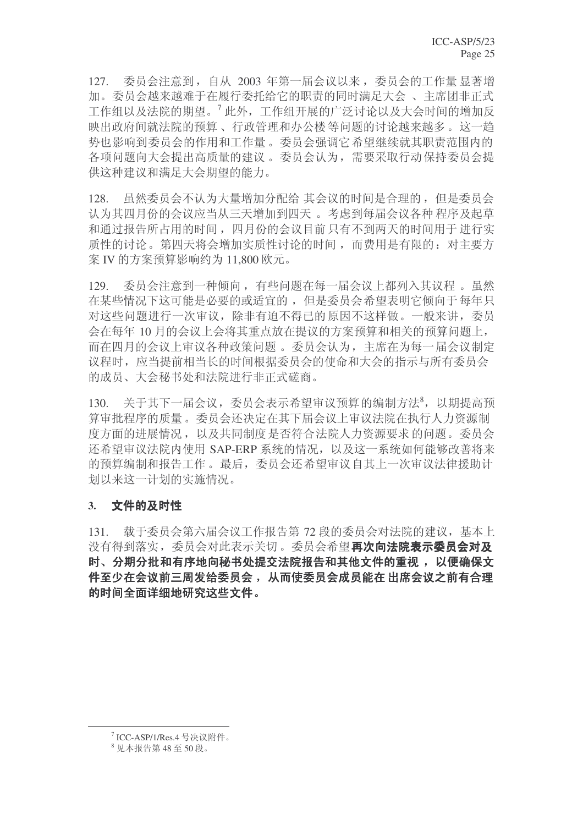127. 委员会注意到, 自从 2003 年第一届会议以来, 委员会的工作量 显著增 加。委员会越来越难于在履行委托给它的职责的同时满足大会、主席团非正式 工作组以及法院的期望。<sup>7</sup>此外,工作组开展的广泛讨论以及大会时间的增加反 映出政府间就法院的预算、行政管理和办公楼等问题的讨论越来越多。这一趋 势也影响到委员会的作用和工作量。委员会强调它希望继续就其职责范围内的 各项问题向大会提出高质量的建议。委员会认为,需要采取行动保持委员会提 供这种建议和满足大会期望的能力。

128. 虽然委员会不认为大量增加分配给 其会议的时间是合理的, 但是委员会 认为其四月份的会议应当从三天增加到四天。考虑到每届会议各种程序及起草 和通过报告所占用的时间, 四月份的会议目前只有不到两天的时间用于进行实 质性的讨论。第四天将会增加实质性讨论的时间,而费用是有限的:对主要方 案 IV 的方案预算影响约为 11,800 欧元。

129. 委员会注意到一种倾向, 有些问题在每一届会议上都列入其议程。虽然 在某些情况下这可能是必要的或适宜的, 但是委员会希望表明它倾向于每年只 对这些问题进行一次审议,除非有迫不得已的原因不这样做。一般来讲,委员 会在每年 10 月的会议上会将其重点放在提议的方案预算和相关的预算问题上, 而在四月的会议上审议各种政策问题。委员会认为,主席在为每一届会议制定 议程时, 应当提前相当长的时间根据委员会的使命和大会的指示与所有委员会 的成员、大会秘书处和法院讲行非正式磋商。

130. 关于其下一届会议,委员会表示希望审议预算的编制方法<sup>8</sup>,以期提高预 算审批程序的质量。委员会还决定在其下届会议上审议法院在执行人力资源制 度方面的进展情况, 以及共同制度是否符合法院人力资源要求的问题。委员会 还希望审议法院内使用 SAP-ERP 系统的情况, 以及这一系统如何能够改善将来 的预算编制和报告工作。最后,委员会还希望审议自其上一次审议法律援助计 划以来这一计划的实施情况。

### 3. 文件的及时性

131. 载于委员会第六届会议工作报告第 72 段的委员会对法院的建议, 基本上 没有得到落实, 委员会对此表示关切。委员会希望再次向法院表示委员会对及 时、分期分批和有序地向秘书处提交法院报告和其他文件的重视, 以便确保文 件至少在会议前三周发给委员会, 从而使委员会成员能在 出席会议之前有合理 的时间全面详细地研究这些文件。

<sup>7</sup> ICC-ASP/1/Res.4 号决议附件。

 $8 \sqrt{R}$ 本报告第48 至 50 段。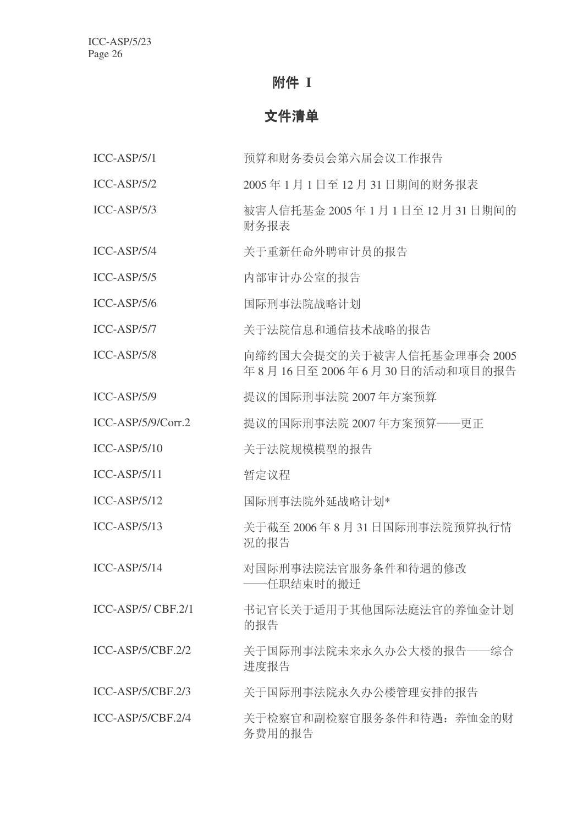### 附件 **I**

### 文件清单

- ICC-ASP/5/1 预算和财务委员会第六届会议工作报告
- ICC-ASP/5/2 2005 年 1 月 1 日至 12 月 31 日期间的财务报表
- ICC-ASP/5/3 㹿ᆇҎֵᠬ䞥 2005 ᑈ 1 ᳜ 1 ᮹㟇 12 ᳜ 31 ᮹ᳳ䯈ⱘ 财务报表
- ICC-ASP/5/4 关于重新任命外聘审计员的报告
- ICC-ASP/5/5 内部审计办公室的报告
- ICC-ASP/5/6 国际刑事法院战略计划
- ICC-ASP/5/7 美干法院信息和通信技术战略的报告
- ICC-ASP/5/8 面缔约国大会提交的关于被害人信托基金理事会 2005 年8月16日至2006年6月30日的活动和项目的报告
- ICC-ASP/5/9 提议的国际刑事法院 2007 年方案预算
- ICC-ASP/5/9/Corr.2 提议的国际刑事法院 2007 年方案预算——更正
- ICC-ASP/5/10 关于法院规模模型的报告
- ICC-ASP/5/11 暂定议程
- ICC-ASP/5/12 国际刑事法院外延战略计划\*
- ICC-ASP/5/13 关于截至 2006年8月31日国际刑事法院预算执行情 况的报告
- ICC-ASP/5/14 对国际刑事法院法官服务条件和待遇的修改 一仟职结束时的搬迁
- ICC-ASP/5/ CBF.2/1 书记官长关于适用于其他国际法庭法官的养恤金计划 的报告
- ICC-ASP/5/CBF.2/2 关于国际刑事法院未来永久办公大楼的报告——综合 讲度报告
- ICC-ASP/5/CBF.2/3 关于国际刑事法院永久办公楼管理安排的报告
- ICC-ASP/5/CBF.2/4 关于检察官和副检察官服务条件和待遇:养恤金的财 务费用的报告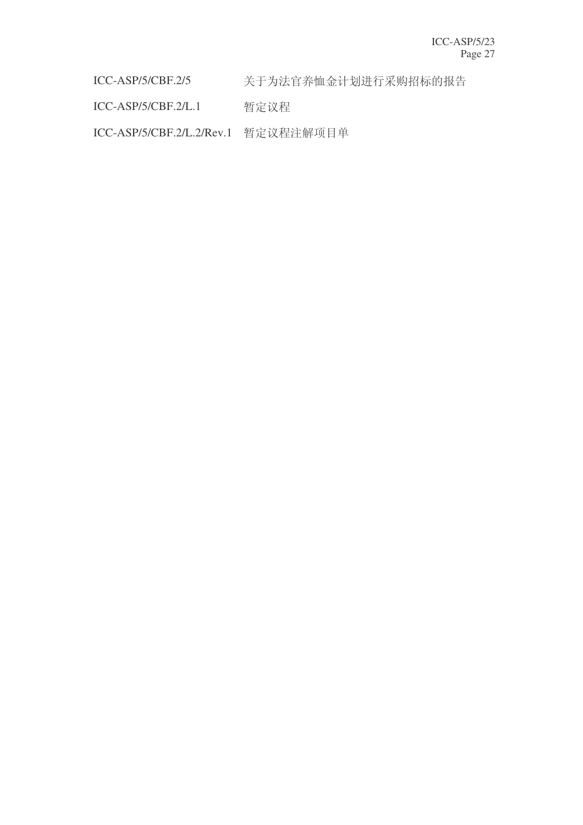ICC-ASP/5/CBF.2/5 关于为法官养恤金计划进行采购招标的报告

ICC-ASP/5/CBF.2/L.1 暂定议程

ICC-ASP/5/CBF.2/L.2/Rev.1 暂定议程注解项目单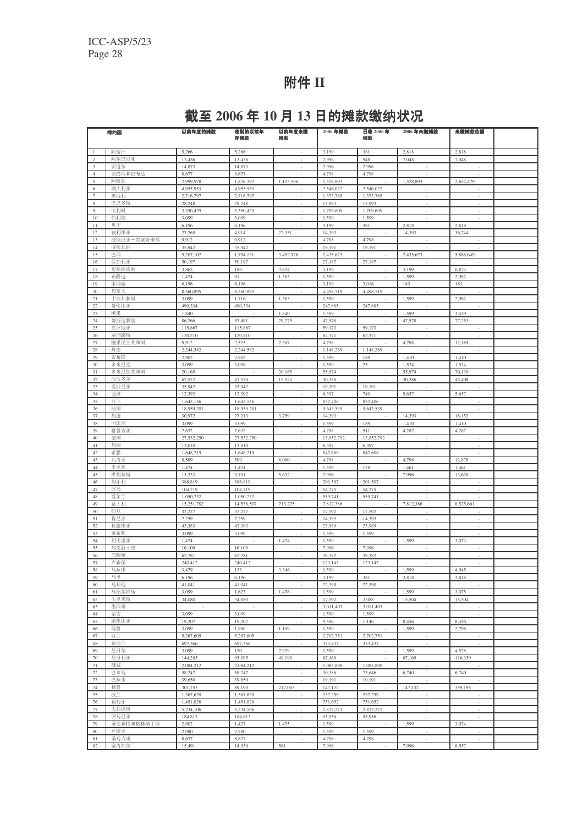# 附件 II

# 截至 2006 年 10 月 13 日的摊款缴纳状况

|                | 缔约国           | 以前年度的摊款                | 收到的以前年<br>度摊款          | 以前年度未缴<br>摊款             | 2006年摊款                | 已收 2006年<br>摊款     | 2006年未缴摊款                | 未缴摊款总额                   |  |
|----------------|---------------|------------------------|------------------------|--------------------------|------------------------|--------------------|--------------------------|--------------------------|--|
| $\mathbf{1}$   | 阿富汗           | 5,266                  | 5,266                  |                          | 3.199                  | 381                | 2,818                    | 2,818                    |  |
| $\overline{c}$ | 阿尔巴尼亚         | 13,436                 | 13,436                 | J.                       | 7,996                  | 948                | 7,048                    | 7,048                    |  |
| 3              | 安道尔           | 14,873                 | 14,873                 | ٠                        | 7.996                  | 7,996              |                          |                          |  |
| $\overline{4}$ | 安提瓜和巴布达       | 8,677                  | 8,677                  |                          | 4,798                  | 4,798              |                          | ÷.                       |  |
| 5<br>6         | 阿根廷<br>澳大利亚   | 2,999,978<br>4,955,953 | 1,876,392<br>4,955,953 | 1,123,586                | 1.528.893<br>2.546.022 | 2.546.022          | 1,528,893                | 2,652,479                |  |
| $\overline{7}$ | 奥地利           | 2,716,797              | 2,716,797              | ٠                        | 1,373,765              | 1,373,765          | $\overline{\phantom{a}}$ | ٠                        |  |
| 8              | 巴巴多斯          | 28,248                 | 28,248                 | ×                        | 15,993                 | 15,993             | ÷.                       | ×                        |  |
| 9              | 比利时           | 3,350,429              | 3,350,429              | ÷,                       | 1,709,609              | 1,709,609          | $\overline{\phantom{a}}$ | $\overline{\phantom{a}}$ |  |
| 10             | 伯利兹           | 3,099                  | 3,099                  | ×                        | 1,599                  | 1,599              | ×                        | ×                        |  |
| 11             | 贝宁            | 6,196                  | 6,196                  | ٠                        | 3.199                  | 381                | 2,818                    | 2,818                    |  |
| 12             | 玻利维亚          | 27,265                 | 4,914                  | 22,351                   | 14.393                 |                    | 14,393                   | 36,744                   |  |
| 13             | 波斯尼亚一黑塞哥维那    | 9,912                  | 9,912                  | ×                        | 4,798                  | 4,798              |                          |                          |  |
| 14<br>15       | 博茨瓦纳<br>巴西    | 35,942<br>5,207,107    | 35,942<br>1,754,131    | 3,452,976                | 19,191<br>2,435,673    | 19,191             | 2,435,673                | 5,888,649                |  |
| 16             | 保加利亚          | 50,197                 | 50,197                 |                          | 27,187                 | 27,187             |                          |                          |  |
| 17             | 布基纳法索         | 3,863                  | 189                    | 3,674                    | 3,199                  |                    | 3,199                    | 6,873                    |  |
| 18             | 布隆迪           | 1,474                  | 91                     | 1,383                    | 1,599                  |                    | 1,599                    | 2,982                    |  |
| 19             | 柬埔寨           | 6,196                  | 6,196                  |                          | 3,199                  | 3,016              | 183                      | 183                      |  |
| 20             | 加拿大           | 8,560,895              | 8,560,895              | ×                        | 4,498,719              | 4,498,719          |                          |                          |  |
| 21             | 中非共和国         | 3,099                  | 1,716                  | 1,383                    | 1,599                  |                    | 1,599                    | 2,982                    |  |
| 22             | 哥伦比亚          | 490,334                | 490,334                | ×                        | 247,885                | 247,885            |                          | ×                        |  |
| 23             | 刚果            | 1,840                  |                        | 1,840                    | 1,599                  |                    | 1,599                    | 3,439                    |  |
| 24<br>25       | 哥斯达黎加<br>克罗地亚 | 86,766<br>115,867      | 57,491<br>115,867      | 29,275                   | 47,978<br>59,173       | 59,173             | 47,978                   | 77,253                   |  |
| 26             | 塞浦路斯          | 120,210                | 120,210                | ×                        | 62,371                 | 62,371             | ×,                       | ×.                       |  |
| 27             | 刚果民主共和国       | 9,912                  | 2,525                  | 7,387                    | 4,798                  |                    | 4,798                    | 12,185                   |  |
| 28             | 丹麦            | 2,244,582              | 2,244,582              | ×,                       | 1,148,269              | 1,148,269          |                          |                          |  |
| 29             | 吉布提           | 2,902                  | 2,902                  |                          | 1,599                  | 189                | 1,410                    | 1,410                    |  |
| 30             | 多米尼克          | 3,099                  | 3,099                  | ×,                       | 1,599                  | 75                 | 1,524                    | 1,524                    |  |
| 31             | 多米尼加共和国       | 20,165                 |                        | 20,165                   | 55,974                 |                    | 55,974                   | 76,139                   |  |
| 32             | 厄瓜多尔          | 62,572                 | 47,550                 | 15,022                   | 30,386                 |                    | 30,386                   | 45,408                   |  |
| 33             | 爱沙尼亚<br>斐济    | 35,942                 | 35,942                 | ×                        | 19,191                 | 19,191             |                          |                          |  |
| 34<br>35       | 芬兰            | 12,392<br>1,645,156    | 12,392<br>1,645,156    |                          | 6,397<br>852,406       | 740<br>852,406     | 5,657                    | 5,657                    |  |
| 36             | 法国            | 18,959,201             | 18,959,201             | ×                        | 9,643,539              | 9.643.539          | i,                       | ÷                        |  |
| 37             | 加蓬            | 30,972                 | 27,213                 | 3,759                    | 14,393                 |                    | 14,393                   | 18,152                   |  |
| 38             | 冈比亚           | 3,099                  | 3,099                  | $\overline{\phantom{a}}$ | 1,599                  | 189                | 1,410                    | 1,410                    |  |
| 39             | 格鲁吉亚          | 7,632                  | 7,632                  |                          | 4,798                  | 511                | 4,287                    | 4,287                    |  |
| $40\,$         | 德国            | 27,532,250             | 27,532,250             | ×                        | 13,852,792             | 13,852,792         | ×,                       | $\overline{\phantom{a}}$ |  |
| 41             | 加纳            | 13,010                 | 13,010                 | ×                        | 6,397                  | 6,397              |                          | $\sim$                   |  |
| 42             | 希腊            | 1,648,219              | 1,648,219              | $\overline{\phantom{a}}$ | 847,608                | 847,608            | $\sim$                   | $\overline{\phantom{a}}$ |  |
| 43             | 几内亚<br>圭亚那    | 8,589                  | 509                    | 8,080                    | 4,798<br>1,599         |                    | 4,798                    | 12,878                   |  |
| 44<br>45       | 洪都拉斯          | 1,474<br>15,333        | 1,474<br>9,701         | ×<br>5,632               | 7,996                  | 138                | 1,461<br>7,996           | 1,461<br>13,628          |  |
| 46             | 匈牙利           | 386,819                | 386,819                | ×                        | 201,507                | 201,507            |                          | $\overline{\phantom{a}}$ |  |
| 47             | 冰岛            | 104,719                | 104,719                |                          | 54,375                 | 54,375             |                          |                          |  |
| 48             | 爱尔兰           | 1,050,232              | 1,050,232              |                          | 559,741                | 559,741            |                          |                          |  |
| 49             | 意大利           | 15,251,782             | 14,538,507             | 713,275                  | 7,812,386              |                    | 7,812,386                | 8,525,661                |  |
| 50             | 约旦            | 32,227                 | 32,227                 |                          | 17,592                 | 17,592             |                          | $\overline{\phantom{a}}$ |  |
| 51             | 肯尼亚           | 7,259                  | 7,259                  |                          | 14,393                 | 14,393             |                          |                          |  |
| 52             | 拉脱维亚          | 43,383                 | 43,383                 | ×                        | 23,989                 | 23,989             |                          | $\overline{\phantom{a}}$ |  |
| 53<br>54       | 莱索托<br>利比里亚   | 3,099<br>1,474         | 3,099                  | 1,474                    | 1,599<br>1,599         | 1,599              | 1,599                    | 3,073                    |  |
| 55             | 列支敦士登         | 16,109                 | 16,109                 |                          | 7,996                  | 7,996              |                          |                          |  |
| 56             | 立陶宛           | 62,781                 | 62,781                 | i,                       | 38,382                 | 38,382             |                          |                          |  |
| 57             | 卢森堡           | 240,412                | 240,412                |                          | 123,143                | 123,143            |                          |                          |  |
| 58             | 马拉维           | 3,479                  | 133                    | 3,346                    | 1,599                  |                    | 1,599                    | 4,945                    |  |
| 59             | 马里            | 6,196                  | 6,196                  |                          | 3,199                  | 381                | 2,818                    | 2,818                    |  |
| 60             | 马耳他           | 41,041                 | 41,041                 | ×                        | 22,390                 | 22,390             |                          |                          |  |
| 61             | 马绍尔群岛         | 3,099                  | 1,623                  | 1,476                    | 1,599                  |                    | 1,599                    | 3,075                    |  |
| 62             | 毛里求斯          | 34,080                 | 34,080                 | $\overline{\phantom{a}}$ | 17,592                 | 2,088              | 15,504                   | 15,504                   |  |
| 63<br>64       | 墨西哥<br>蒙古     | 3,099                  | 3,099                  | ×                        | 3,011,407<br>1,599     | 3,011,407<br>1,599 | ×,                       | $\overline{\phantom{a}}$ |  |
| 65             | 纳米比亚          | 19,207                 | 19,207                 |                          | 9,596                  | 1,140              | 8,456                    | 8,456                    |  |
| 66             | 瑙鲁            | 3,099                  | 1,900                  | 1,199                    | 1,599                  |                    | 1,599                    | 2,798                    |  |
| 67             | 荷兰            | 5,267,605              | 5,267,605              |                          | 2,702,751              | 2,702,751          |                          |                          |  |
| 68             | 新西兰           | 697,366                | 697,366                |                          | 353,437                | 353,437            | ×,                       |                          |  |
| 69             | 尼日尔           | 3,099                  | 170                    | 2,929                    | 1,599                  |                    | 1,599                    | 4,528                    |  |
| 70             | 尼日利亚          | 144,285                | 95,095                 | 49,190                   | 67,169                 |                    | 67,169                   | 116,359                  |  |
| 71             | 挪威            | 2,084,212              | 2,084,212              |                          | 1,085,898              | 1,085,898          |                          |                          |  |
| 72             | 巴拿马           | 58,247                 | 58,247                 | $\overline{\phantom{a}}$ | 30,386                 | 23,646             | 6,740                    | 6,740                    |  |
| 73<br>74       | 巴拉圭<br>秘鲁     | 39,650<br>301,253      | 39,650<br>89,190       | 212,063                  | 19,191<br>147,132      | 19,191             | 147,132                  | 359,195                  |  |
| 75             | 波兰            | 1,367,620              | 1,367,620              |                          | 737,259                | 737,259            |                          |                          |  |
| 76             | 葡萄牙           | 1,451,826              | 1,451,826              | $\overline{\phantom{a}}$ | 751,652                | 751,652            | $\sim$                   | $\overline{\phantom{a}}$ |  |
| 77             | 大韩民国          | 5,234,106              | 5,234,106              |                          | 2,872,271              | 2,872,271          |                          | ×,                       |  |
| 78             | 罗马尼亚          | 184,813                | 184,813                | $\overline{\phantom{a}}$ | 95,956                 | 95,956             | $\sim$                   | $\sim$                   |  |
| 79             | 圣文森特和格林纳丁斯    | 2,902                  | 1,427                  | 1,475                    | 1,599                  |                    | 1,599                    | 3,074                    |  |
| 80             | 萨摩亚           | 2,980                  | 2,980                  |                          | 1,599                  | 1,599              |                          |                          |  |
| 81             | 圣马力诺          | 8,677                  | 8,677                  |                          | 4,798                  | 4,798              |                          |                          |  |
| 82             | 塞内加尔          | 15,491                 | 14,930                 | 561                      | 7,996                  |                    | 7,996                    | 8,557                    |  |